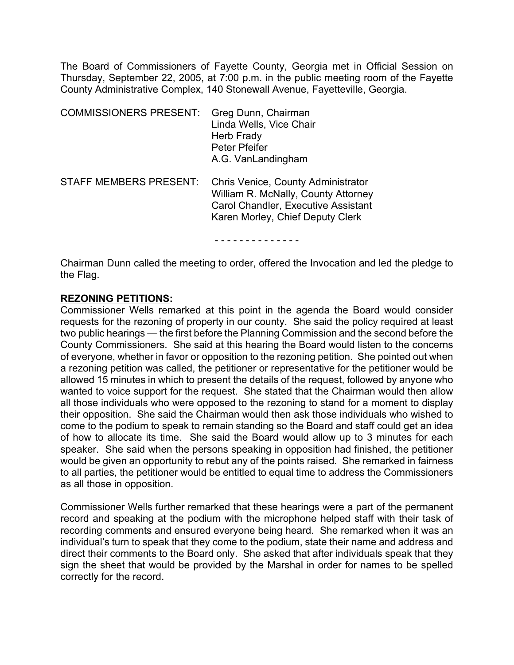The Board of Commissioners of Fayette County, Georgia met in Official Session on Thursday, September 22, 2005, at 7:00 p.m. in the public meeting room of the Fayette County Administrative Complex, 140 Stonewall Avenue, Fayetteville, Georgia.

| <b>COMMISSIONERS PRESENT:</b> | Greg Dunn, Chairman<br>Linda Wells, Vice Chair<br>Herb Frady<br>Peter Pfeifer<br>A.G. VanLandingham                                                         |
|-------------------------------|-------------------------------------------------------------------------------------------------------------------------------------------------------------|
| <b>STAFF MEMBERS PRESENT:</b> | Chris Venice, County Administrator<br>William R. McNally, County Attorney<br><b>Carol Chandler, Executive Assistant</b><br>Karen Morley, Chief Deputy Clerk |

- - - - - - - - - - - - - -

Chairman Dunn called the meeting to order, offered the Invocation and led the pledge to the Flag.

#### **REZONING PETITIONS:**

Commissioner Wells remarked at this point in the agenda the Board would consider requests for the rezoning of property in our county. She said the policy required at least two public hearings — the first before the Planning Commission and the second before the County Commissioners. She said at this hearing the Board would listen to the concerns of everyone, whether in favor or opposition to the rezoning petition. She pointed out when a rezoning petition was called, the petitioner or representative for the petitioner would be allowed 15 minutes in which to present the details of the request, followed by anyone who wanted to voice support for the request. She stated that the Chairman would then allow all those individuals who were opposed to the rezoning to stand for a moment to display their opposition. She said the Chairman would then ask those individuals who wished to come to the podium to speak to remain standing so the Board and staff could get an idea of how to allocate its time. She said the Board would allow up to 3 minutes for each speaker. She said when the persons speaking in opposition had finished, the petitioner would be given an opportunity to rebut any of the points raised. She remarked in fairness to all parties, the petitioner would be entitled to equal time to address the Commissioners as all those in opposition.

Commissioner Wells further remarked that these hearings were a part of the permanent record and speaking at the podium with the microphone helped staff with their task of recording comments and ensured everyone being heard. She remarked when it was an individual's turn to speak that they come to the podium, state their name and address and direct their comments to the Board only. She asked that after individuals speak that they sign the sheet that would be provided by the Marshal in order for names to be spelled correctly for the record.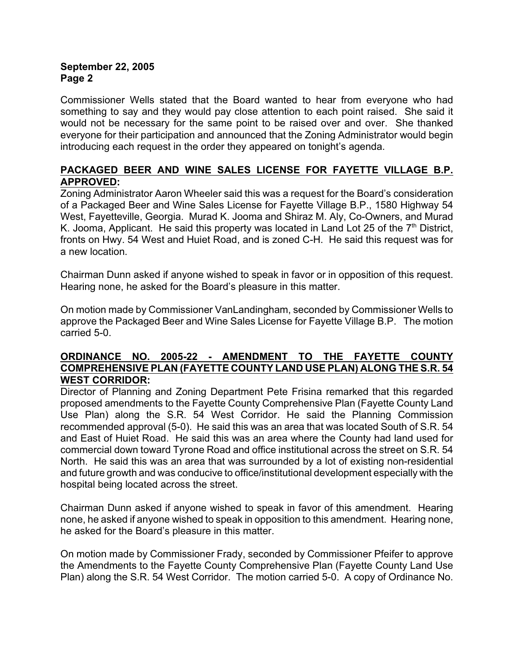Commissioner Wells stated that the Board wanted to hear from everyone who had something to say and they would pay close attention to each point raised. She said it would not be necessary for the same point to be raised over and over. She thanked everyone for their participation and announced that the Zoning Administrator would begin introducing each request in the order they appeared on tonight's agenda.

# **PACKAGED BEER AND WINE SALES LICENSE FOR FAYETTE VILLAGE B.P. APPROVED:**

Zoning Administrator Aaron Wheeler said this was a request for the Board's consideration of a Packaged Beer and Wine Sales License for Fayette Village B.P., 1580 Highway 54 West, Fayetteville, Georgia. Murad K. Jooma and Shiraz M. Aly, Co-Owners, and Murad K. Jooma, Applicant. He said this property was located in Land Lot 25 of the  $7<sup>th</sup>$  District, fronts on Hwy. 54 West and Huiet Road, and is zoned C-H. He said this request was for a new location.

Chairman Dunn asked if anyone wished to speak in favor or in opposition of this request. Hearing none, he asked for the Board's pleasure in this matter.

On motion made by Commissioner VanLandingham, seconded by Commissioner Wells to approve the Packaged Beer and Wine Sales License for Fayette Village B.P. The motion carried 5-0.

# **ORDINANCE NO. 2005-22 - AMENDMENT TO THE FAYETTE COUNTY COMPREHENSIVE PLAN (FAYETTE COUNTY LAND USE PLAN) ALONG THE S.R. 54 WEST CORRIDOR:**

Director of Planning and Zoning Department Pete Frisina remarked that this regarded proposed amendments to the Fayette County Comprehensive Plan (Fayette County Land Use Plan) along the S.R. 54 West Corridor. He said the Planning Commission recommended approval (5-0). He said this was an area that was located South of S.R. 54 and East of Huiet Road. He said this was an area where the County had land used for commercial down toward Tyrone Road and office institutional across the street on S.R. 54 North. He said this was an area that was surrounded by a lot of existing non-residential and future growth and was conducive to office/institutional development especially with the hospital being located across the street.

Chairman Dunn asked if anyone wished to speak in favor of this amendment. Hearing none, he asked if anyone wished to speak in opposition to this amendment. Hearing none, he asked for the Board's pleasure in this matter.

On motion made by Commissioner Frady, seconded by Commissioner Pfeifer to approve the Amendments to the Fayette County Comprehensive Plan (Fayette County Land Use Plan) along the S.R. 54 West Corridor. The motion carried 5-0. A copy of Ordinance No.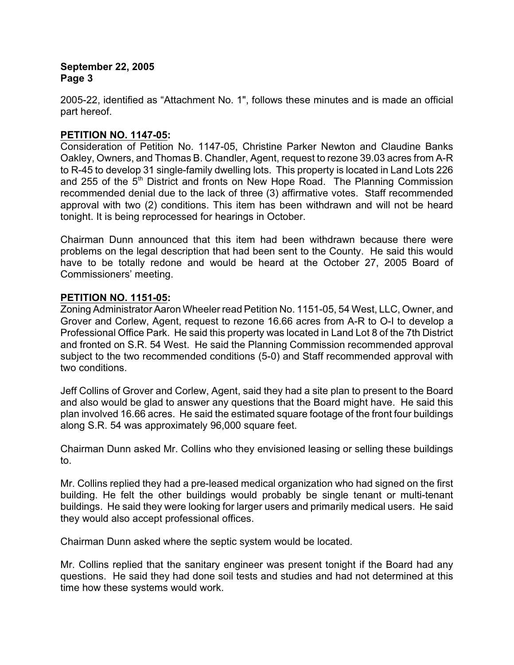2005-22, identified as "Attachment No. 1", follows these minutes and is made an official part hereof.

# **PETITION NO. 1147-05:**

Consideration of Petition No. 1147-05, Christine Parker Newton and Claudine Banks Oakley, Owners, and Thomas B. Chandler, Agent, request to rezone 39.03 acres from A-R to R-45 to develop 31 single-family dwelling lots. This property is located in Land Lots 226 and 255 of the  $5<sup>th</sup>$  District and fronts on New Hope Road. The Planning Commission recommended denial due to the lack of three (3) affirmative votes. Staff recommended approval with two (2) conditions. This item has been withdrawn and will not be heard tonight. It is being reprocessed for hearings in October.

Chairman Dunn announced that this item had been withdrawn because there were problems on the legal description that had been sent to the County. He said this would have to be totally redone and would be heard at the October 27, 2005 Board of Commissioners' meeting.

### **PETITION NO. 1151-05:**

Zoning Administrator Aaron Wheeler read Petition No. 1151-05, 54 West, LLC, Owner, and Grover and Corlew, Agent, request to rezone 16.66 acres from A-R to O-I to develop a Professional Office Park. He said this property was located in Land Lot 8 of the 7th District and fronted on S.R. 54 West. He said the Planning Commission recommended approval subject to the two recommended conditions (5-0) and Staff recommended approval with two conditions.

Jeff Collins of Grover and Corlew, Agent, said they had a site plan to present to the Board and also would be glad to answer any questions that the Board might have. He said this plan involved 16.66 acres. He said the estimated square footage of the front four buildings along S.R. 54 was approximately 96,000 square feet.

Chairman Dunn asked Mr. Collins who they envisioned leasing or selling these buildings to.

Mr. Collins replied they had a pre-leased medical organization who had signed on the first building. He felt the other buildings would probably be single tenant or multi-tenant buildings. He said they were looking for larger users and primarily medical users. He said they would also accept professional offices.

Chairman Dunn asked where the septic system would be located.

Mr. Collins replied that the sanitary engineer was present tonight if the Board had any questions. He said they had done soil tests and studies and had not determined at this time how these systems would work.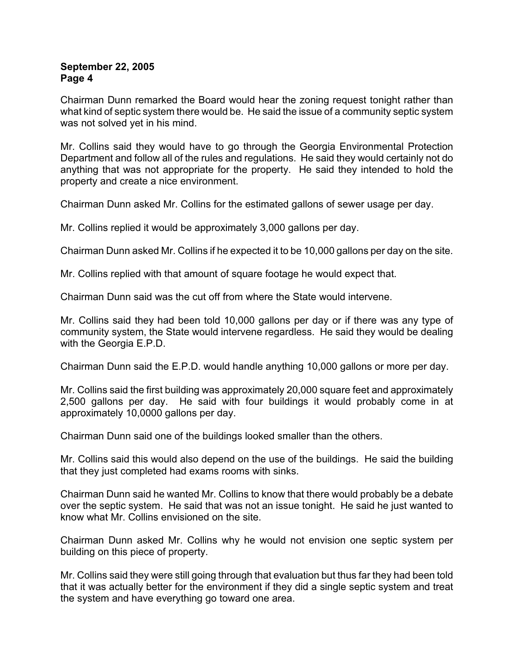Chairman Dunn remarked the Board would hear the zoning request tonight rather than what kind of septic system there would be. He said the issue of a community septic system was not solved yet in his mind.

Mr. Collins said they would have to go through the Georgia Environmental Protection Department and follow all of the rules and regulations. He said they would certainly not do anything that was not appropriate for the property. He said they intended to hold the property and create a nice environment.

Chairman Dunn asked Mr. Collins for the estimated gallons of sewer usage per day.

Mr. Collins replied it would be approximately 3,000 gallons per day.

Chairman Dunn asked Mr. Collins if he expected it to be 10,000 gallons per day on the site.

Mr. Collins replied with that amount of square footage he would expect that.

Chairman Dunn said was the cut off from where the State would intervene.

Mr. Collins said they had been told 10,000 gallons per day or if there was any type of community system, the State would intervene regardless. He said they would be dealing with the Georgia E.P.D.

Chairman Dunn said the E.P.D. would handle anything 10,000 gallons or more per day.

Mr. Collins said the first building was approximately 20,000 square feet and approximately 2,500 gallons per day. He said with four buildings it would probably come in at approximately 10,0000 gallons per day.

Chairman Dunn said one of the buildings looked smaller than the others.

Mr. Collins said this would also depend on the use of the buildings. He said the building that they just completed had exams rooms with sinks.

Chairman Dunn said he wanted Mr. Collins to know that there would probably be a debate over the septic system. He said that was not an issue tonight. He said he just wanted to know what Mr. Collins envisioned on the site.

Chairman Dunn asked Mr. Collins why he would not envision one septic system per building on this piece of property.

Mr. Collins said they were still going through that evaluation but thus far they had been told that it was actually better for the environment if they did a single septic system and treat the system and have everything go toward one area.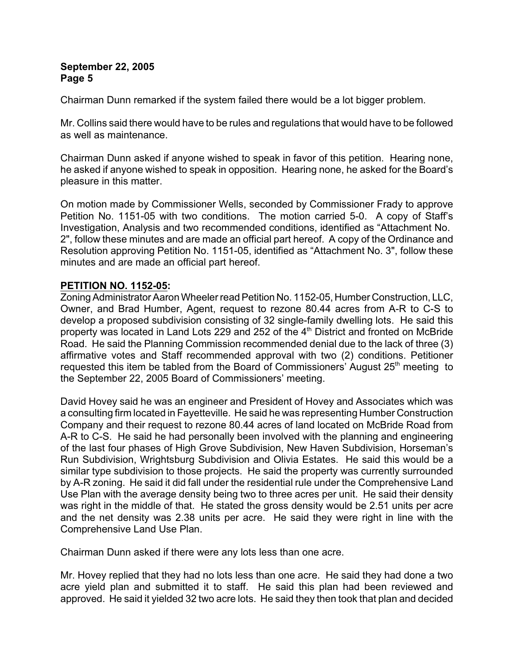Chairman Dunn remarked if the system failed there would be a lot bigger problem.

Mr. Collins said there would have to be rules and regulations that would have to be followed as well as maintenance.

Chairman Dunn asked if anyone wished to speak in favor of this petition. Hearing none, he asked if anyone wished to speak in opposition. Hearing none, he asked for the Board's pleasure in this matter.

On motion made by Commissioner Wells, seconded by Commissioner Frady to approve Petition No. 1151-05 with two conditions. The motion carried 5-0. A copy of Staff's Investigation, Analysis and two recommended conditions, identified as "Attachment No. 2", follow these minutes and are made an official part hereof. A copy of the Ordinance and Resolution approving Petition No. 1151-05, identified as "Attachment No. 3", follow these minutes and are made an official part hereof.

# **PETITION NO. 1152-05:**

Zoning Administrator Aaron Wheeler read Petition No. 1152-05, Humber Construction, LLC, Owner, and Brad Humber, Agent, request to rezone 80.44 acres from A-R to C-S to develop a proposed subdivision consisting of 32 single-family dwelling lots. He said this property was located in Land Lots 229 and 252 of the 4<sup>th</sup> District and fronted on McBride Road. He said the Planning Commission recommended denial due to the lack of three (3) affirmative votes and Staff recommended approval with two (2) conditions. Petitioner requested this item be tabled from the Board of Commissioners' August  $25<sup>th</sup>$  meeting to the September 22, 2005 Board of Commissioners' meeting.

David Hovey said he was an engineer and President of Hovey and Associates which was a consulting firm located in Fayetteville. He said he was representing Humber Construction Company and their request to rezone 80.44 acres of land located on McBride Road from A-R to C-S. He said he had personally been involved with the planning and engineering of the last four phases of High Grove Subdivision, New Haven Subdivision, Horseman's Run Subdivision, Wrightsburg Subdivision and Olivia Estates. He said this would be a similar type subdivision to those projects. He said the property was currently surrounded by A-R zoning. He said it did fall under the residential rule under the Comprehensive Land Use Plan with the average density being two to three acres per unit. He said their density was right in the middle of that. He stated the gross density would be 2.51 units per acre and the net density was 2.38 units per acre. He said they were right in line with the Comprehensive Land Use Plan.

Chairman Dunn asked if there were any lots less than one acre.

Mr. Hovey replied that they had no lots less than one acre. He said they had done a two acre yield plan and submitted it to staff. He said this plan had been reviewed and approved. He said it yielded 32 two acre lots. He said they then took that plan and decided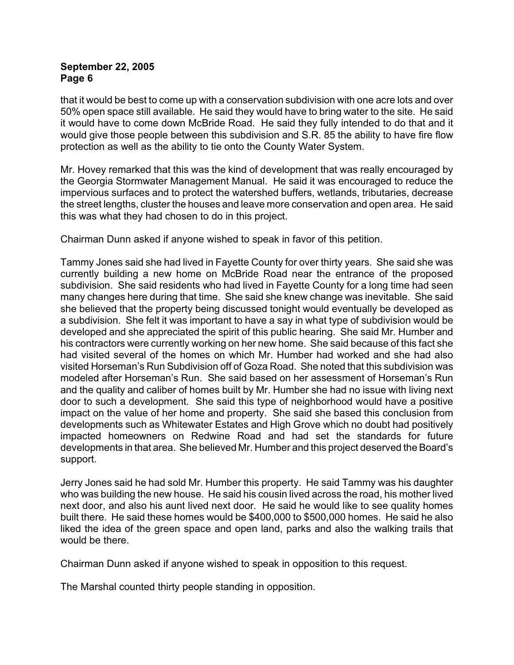that it would be best to come up with a conservation subdivision with one acre lots and over 50% open space still available. He said they would have to bring water to the site. He said it would have to come down McBride Road. He said they fully intended to do that and it would give those people between this subdivision and S.R. 85 the ability to have fire flow protection as well as the ability to tie onto the County Water System.

Mr. Hovey remarked that this was the kind of development that was really encouraged by the Georgia Stormwater Management Manual. He said it was encouraged to reduce the impervious surfaces and to protect the watershed buffers, wetlands, tributaries, decrease the street lengths, cluster the houses and leave more conservation and open area. He said this was what they had chosen to do in this project.

Chairman Dunn asked if anyone wished to speak in favor of this petition.

Tammy Jones said she had lived in Fayette County for over thirty years. She said she was currently building a new home on McBride Road near the entrance of the proposed subdivision. She said residents who had lived in Fayette County for a long time had seen many changes here during that time. She said she knew change was inevitable. She said she believed that the property being discussed tonight would eventually be developed as a subdivision. She felt it was important to have a say in what type of subdivision would be developed and she appreciated the spirit of this public hearing. She said Mr. Humber and his contractors were currently working on her new home. She said because of this fact she had visited several of the homes on which Mr. Humber had worked and she had also visited Horseman's Run Subdivision off of Goza Road. She noted that this subdivision was modeled after Horseman's Run. She said based on her assessment of Horseman's Run and the quality and caliber of homes built by Mr. Humber she had no issue with living next door to such a development. She said this type of neighborhood would have a positive impact on the value of her home and property. She said she based this conclusion from developments such as Whitewater Estates and High Grove which no doubt had positively impacted homeowners on Redwine Road and had set the standards for future developments in that area. She believed Mr. Humber and this project deserved the Board's support.

Jerry Jones said he had sold Mr. Humber this property. He said Tammy was his daughter who was building the new house. He said his cousin lived across the road, his mother lived next door, and also his aunt lived next door. He said he would like to see quality homes built there. He said these homes would be \$400,000 to \$500,000 homes. He said he also liked the idea of the green space and open land, parks and also the walking trails that would be there.

Chairman Dunn asked if anyone wished to speak in opposition to this request.

The Marshal counted thirty people standing in opposition.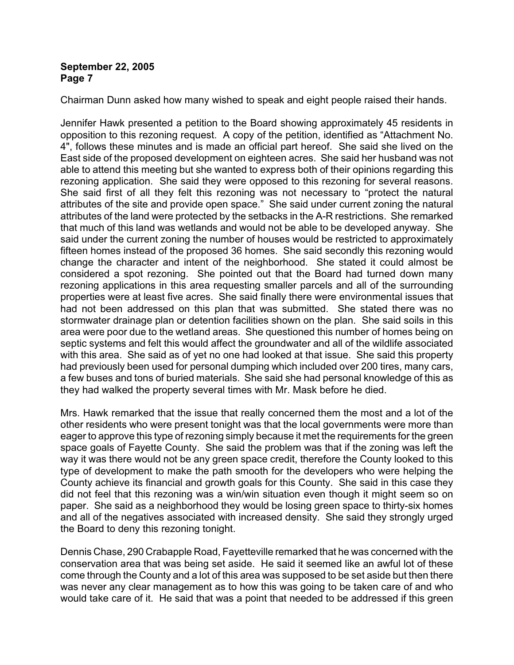Chairman Dunn asked how many wished to speak and eight people raised their hands.

Jennifer Hawk presented a petition to the Board showing approximately 45 residents in opposition to this rezoning request. A copy of the petition, identified as "Attachment No. 4", follows these minutes and is made an official part hereof. She said she lived on the East side of the proposed development on eighteen acres. She said her husband was not able to attend this meeting but she wanted to express both of their opinions regarding this rezoning application. She said they were opposed to this rezoning for several reasons. She said first of all they felt this rezoning was not necessary to "protect the natural attributes of the site and provide open space." She said under current zoning the natural attributes of the land were protected by the setbacks in the A-R restrictions. She remarked that much of this land was wetlands and would not be able to be developed anyway. She said under the current zoning the number of houses would be restricted to approximately fifteen homes instead of the proposed 36 homes. She said secondly this rezoning would change the character and intent of the neighborhood. She stated it could almost be considered a spot rezoning. She pointed out that the Board had turned down many rezoning applications in this area requesting smaller parcels and all of the surrounding properties were at least five acres. She said finally there were environmental issues that had not been addressed on this plan that was submitted. She stated there was no stormwater drainage plan or detention facilities shown on the plan. She said soils in this area were poor due to the wetland areas. She questioned this number of homes being on septic systems and felt this would affect the groundwater and all of the wildlife associated with this area. She said as of yet no one had looked at that issue. She said this property had previously been used for personal dumping which included over 200 tires, many cars, a few buses and tons of buried materials. She said she had personal knowledge of this as they had walked the property several times with Mr. Mask before he died.

Mrs. Hawk remarked that the issue that really concerned them the most and a lot of the other residents who were present tonight was that the local governments were more than eager to approve this type of rezoning simply because it met the requirements for the green space goals of Fayette County. She said the problem was that if the zoning was left the way it was there would not be any green space credit, therefore the County looked to this type of development to make the path smooth for the developers who were helping the County achieve its financial and growth goals for this County. She said in this case they did not feel that this rezoning was a win/win situation even though it might seem so on paper. She said as a neighborhood they would be losing green space to thirty-six homes and all of the negatives associated with increased density. She said they strongly urged the Board to deny this rezoning tonight.

Dennis Chase, 290 Crabapple Road, Fayetteville remarked that he was concerned with the conservation area that was being set aside. He said it seemed like an awful lot of these come through the County and a lot of this area was supposed to be set aside but then there was never any clear management as to how this was going to be taken care of and who would take care of it. He said that was a point that needed to be addressed if this green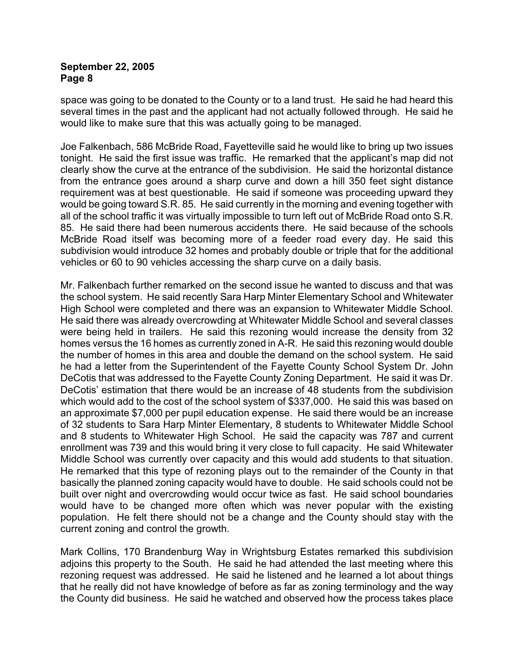space was going to be donated to the County or to a land trust. He said he had heard this several times in the past and the applicant had not actually followed through. He said he would like to make sure that this was actually going to be managed.

Joe Falkenbach, 586 McBride Road, Fayetteville said he would like to bring up two issues tonight. He said the first issue was traffic. He remarked that the applicant's map did not clearly show the curve at the entrance of the subdivision. He said the horizontal distance from the entrance goes around a sharp curve and down a hill 350 feet sight distance requirement was at best questionable. He said if someone was proceeding upward they would be going toward S.R. 85. He said currently in the morning and evening together with all of the school traffic it was virtually impossible to turn left out of McBride Road onto S.R. 85. He said there had been numerous accidents there. He said because of the schools McBride Road itself was becoming more of a feeder road every day. He said this subdivision would introduce 32 homes and probably double or triple that for the additional vehicles or 60 to 90 vehicles accessing the sharp curve on a daily basis.

Mr. Falkenbach further remarked on the second issue he wanted to discuss and that was the school system. He said recently Sara Harp Minter Elementary School and Whitewater High School were completed and there was an expansion to Whitewater Middle School. He said there was already overcrowding at Whitewater Middle School and several classes were being held in trailers. He said this rezoning would increase the density from 32 homes versus the 16 homes as currently zoned in A-R. He said this rezoning would double the number of homes in this area and double the demand on the school system. He said he had a letter from the Superintendent of the Fayette County School System Dr. John DeCotis that was addressed to the Fayette County Zoning Department. He said it was Dr. DeCotis' estimation that there would be an increase of 48 students from the subdivision which would add to the cost of the school system of \$337,000. He said this was based on an approximate \$7,000 per pupil education expense. He said there would be an increase of 32 students to Sara Harp Minter Elementary, 8 students to Whitewater Middle School and 8 students to Whitewater High School. He said the capacity was 787 and current enrollment was 739 and this would bring it very close to full capacity. He said Whitewater Middle School was currently over capacity and this would add students to that situation. He remarked that this type of rezoning plays out to the remainder of the County in that basically the planned zoning capacity would have to double. He said schools could not be built over night and overcrowding would occur twice as fast. He said school boundaries would have to be changed more often which was never popular with the existing population. He felt there should not be a change and the County should stay with the current zoning and control the growth.

Mark Collins, 170 Brandenburg Way in Wrightsburg Estates remarked this subdivision adjoins this property to the South. He said he had attended the last meeting where this rezoning request was addressed. He said he listened and he learned a lot about things that he really did not have knowledge of before as far as zoning terminology and the way the County did business. He said he watched and observed how the process takes place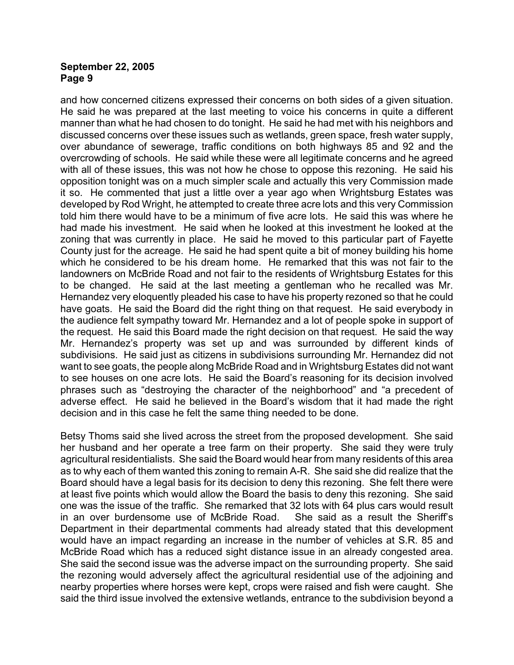and how concerned citizens expressed their concerns on both sides of a given situation. He said he was prepared at the last meeting to voice his concerns in quite a different manner than what he had chosen to do tonight. He said he had met with his neighbors and discussed concerns over these issues such as wetlands, green space, fresh water supply, over abundance of sewerage, traffic conditions on both highways 85 and 92 and the overcrowding of schools. He said while these were all legitimate concerns and he agreed with all of these issues, this was not how he chose to oppose this rezoning. He said his opposition tonight was on a much simpler scale and actually this very Commission made it so. He commented that just a little over a year ago when Wrightsburg Estates was developed by Rod Wright, he attempted to create three acre lots and this very Commission told him there would have to be a minimum of five acre lots. He said this was where he had made his investment. He said when he looked at this investment he looked at the zoning that was currently in place. He said he moved to this particular part of Fayette County just for the acreage. He said he had spent quite a bit of money building his home which he considered to be his dream home. He remarked that this was not fair to the landowners on McBride Road and not fair to the residents of Wrightsburg Estates for this to be changed. He said at the last meeting a gentleman who he recalled was Mr. Hernandez very eloquently pleaded his case to have his property rezoned so that he could have goats. He said the Board did the right thing on that request. He said everybody in the audience felt sympathy toward Mr. Hernandez and a lot of people spoke in support of the request. He said this Board made the right decision on that request. He said the way Mr. Hernandez's property was set up and was surrounded by different kinds of subdivisions. He said just as citizens in subdivisions surrounding Mr. Hernandez did not want to see goats, the people along McBride Road and in Wrightsburg Estates did not want to see houses on one acre lots. He said the Board's reasoning for its decision involved phrases such as "destroying the character of the neighborhood" and "a precedent of adverse effect. He said he believed in the Board's wisdom that it had made the right decision and in this case he felt the same thing needed to be done.

Betsy Thoms said she lived across the street from the proposed development. She said her husband and her operate a tree farm on their property. She said they were truly agricultural residentialists. She said the Board would hear from many residents of this area as to why each of them wanted this zoning to remain A-R. She said she did realize that the Board should have a legal basis for its decision to deny this rezoning. She felt there were at least five points which would allow the Board the basis to deny this rezoning. She said one was the issue of the traffic. She remarked that 32 lots with 64 plus cars would result in an over burdensome use of McBride Road. She said as a result the Sheriff's Department in their departmental comments had already stated that this development would have an impact regarding an increase in the number of vehicles at S.R. 85 and McBride Road which has a reduced sight distance issue in an already congested area. She said the second issue was the adverse impact on the surrounding property. She said the rezoning would adversely affect the agricultural residential use of the adjoining and nearby properties where horses were kept, crops were raised and fish were caught. She said the third issue involved the extensive wetlands, entrance to the subdivision beyond a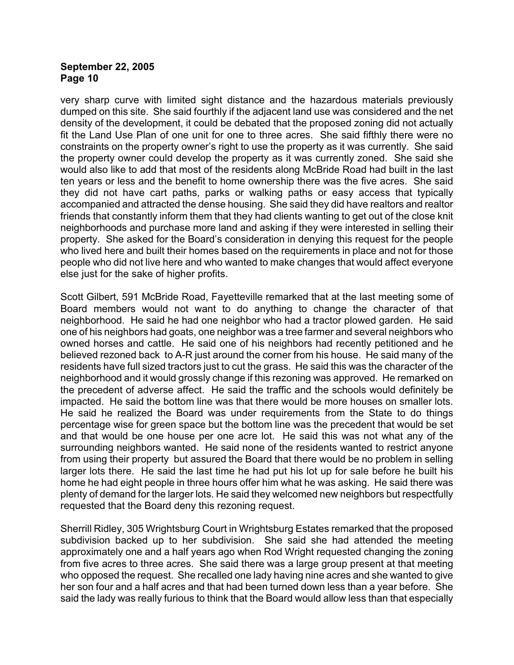very sharp curve with limited sight distance and the hazardous materials previously dumped on this site. She said fourthly if the adjacent land use was considered and the net density of the development, it could be debated that the proposed zoning did not actually fit the Land Use Plan of one unit for one to three acres. She said fifthly there were no constraints on the property owner's right to use the property as it was currently. She said the property owner could develop the property as it was currently zoned. She said she would also like to add that most of the residents along McBride Road had built in the last ten years or less and the benefit to home ownership there was the five acres. She said they did not have cart paths, parks or walking paths or easy access that typically accompanied and attracted the dense housing. She said they did have realtors and realtor friends that constantly inform them that they had clients wanting to get out of the close knit neighborhoods and purchase more land and asking if they were interested in selling their property. She asked for the Board's consideration in denying this request for the people who lived here and built their homes based on the requirements in place and not for those people who did not live here and who wanted to make changes that would affect everyone else just for the sake of higher profits.

Scott Gilbert, 591 McBride Road, Fayetteville remarked that at the last meeting some of Board members would not want to do anything to change the character of that neighborhood. He said he had one neighbor who had a tractor plowed garden. He said one of his neighbors had goats, one neighbor was a tree farmer and several neighbors who owned horses and cattle. He said one of his neighbors had recently petitioned and he believed rezoned back to A-R just around the corner from his house. He said many of the residents have full sized tractors just to cut the grass. He said this was the character of the neighborhood and it would grossly change if this rezoning was approved. He remarked on the precedent of adverse affect. He said the traffic and the schools would definitely be impacted. He said the bottom line was that there would be more houses on smaller lots. He said he realized the Board was under requirements from the State to do things percentage wise for green space but the bottom line was the precedent that would be set and that would be one house per one acre lot. He said this was not what any of the surrounding neighbors wanted. He said none of the residents wanted to restrict anyone from using their property but assured the Board that there would be no problem in selling larger lots there. He said the last time he had put his lot up for sale before he built his home he had eight people in three hours offer him what he was asking. He said there was plenty of demand for the larger lots. He said they welcomed new neighbors but respectfully requested that the Board deny this rezoning request.

Sherrill Ridley, 305 Wrightsburg Court in Wrightsburg Estates remarked that the proposed subdivision backed up to her subdivision. She said she had attended the meeting approximately one and a half years ago when Rod Wright requested changing the zoning from five acres to three acres. She said there was a large group present at that meeting who opposed the request. She recalled one lady having nine acres and she wanted to give her son four and a half acres and that had been turned down less than a year before. She said the lady was really furious to think that the Board would allow less than that especially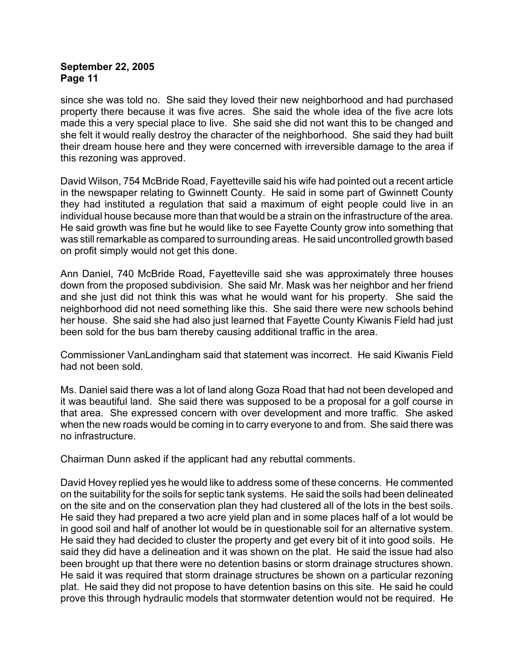since she was told no. She said they loved their new neighborhood and had purchased property there because it was five acres. She said the whole idea of the five acre lots made this a very special place to live. She said she did not want this to be changed and she felt it would really destroy the character of the neighborhood. She said they had built their dream house here and they were concerned with irreversible damage to the area if this rezoning was approved.

David Wilson, 754 McBride Road, Fayetteville said his wife had pointed out a recent article in the newspaper relating to Gwinnett County. He said in some part of Gwinnett County they had instituted a regulation that said a maximum of eight people could live in an individual house because more than that would be a strain on the infrastructure of the area. He said growth was fine but he would like to see Fayette County grow into something that was still remarkable as compared to surrounding areas. He said uncontrolled growth based on profit simply would not get this done.

Ann Daniel, 740 McBride Road, Fayetteville said she was approximately three houses down from the proposed subdivision. She said Mr. Mask was her neighbor and her friend and she just did not think this was what he would want for his property. She said the neighborhood did not need something like this. She said there were new schools behind her house. She said she had also just learned that Fayette County Kiwanis Field had just been sold for the bus barn thereby causing additional traffic in the area.

Commissioner VanLandingham said that statement was incorrect. He said Kiwanis Field had not been sold.

Ms. Daniel said there was a lot of land along Goza Road that had not been developed and it was beautiful land. She said there was supposed to be a proposal for a golf course in that area. She expressed concern with over development and more traffic. She asked when the new roads would be coming in to carry everyone to and from. She said there was no infrastructure.

Chairman Dunn asked if the applicant had any rebuttal comments.

David Hovey replied yes he would like to address some of these concerns. He commented on the suitability for the soils for septic tank systems. He said the soils had been delineated on the site and on the conservation plan they had clustered all of the lots in the best soils. He said they had prepared a two acre yield plan and in some places half of a lot would be in good soil and half of another lot would be in questionable soil for an alternative system. He said they had decided to cluster the property and get every bit of it into good soils. He said they did have a delineation and it was shown on the plat. He said the issue had also been brought up that there were no detention basins or storm drainage structures shown. He said it was required that storm drainage structures be shown on a particular rezoning plat. He said they did not propose to have detention basins on this site. He said he could prove this through hydraulic models that stormwater detention would not be required. He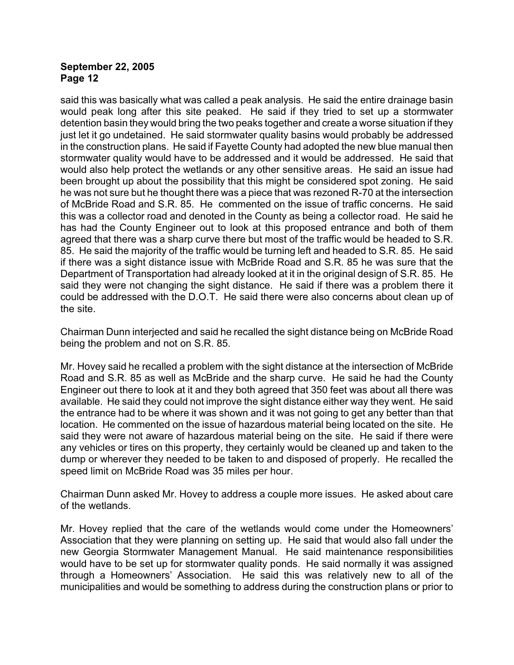said this was basically what was called a peak analysis. He said the entire drainage basin would peak long after this site peaked. He said if they tried to set up a stormwater detention basin they would bring the two peaks together and create a worse situation if they just let it go undetained. He said stormwater quality basins would probably be addressed in the construction plans. He said if Fayette County had adopted the new blue manual then stormwater quality would have to be addressed and it would be addressed. He said that would also help protect the wetlands or any other sensitive areas. He said an issue had been brought up about the possibility that this might be considered spot zoning. He said he was not sure but he thought there was a piece that was rezoned R-70 at the intersection of McBride Road and S.R. 85. He commented on the issue of traffic concerns. He said this was a collector road and denoted in the County as being a collector road. He said he has had the County Engineer out to look at this proposed entrance and both of them agreed that there was a sharp curve there but most of the traffic would be headed to S.R. 85. He said the majority of the traffic would be turning left and headed to S.R. 85. He said if there was a sight distance issue with McBride Road and S.R. 85 he was sure that the Department of Transportation had already looked at it in the original design of S.R. 85. He said they were not changing the sight distance. He said if there was a problem there it could be addressed with the D.O.T. He said there were also concerns about clean up of the site.

Chairman Dunn interjected and said he recalled the sight distance being on McBride Road being the problem and not on S.R. 85.

Mr. Hovey said he recalled a problem with the sight distance at the intersection of McBride Road and S.R. 85 as well as McBride and the sharp curve. He said he had the County Engineer out there to look at it and they both agreed that 350 feet was about all there was available. He said they could not improve the sight distance either way they went. He said the entrance had to be where it was shown and it was not going to get any better than that location. He commented on the issue of hazardous material being located on the site. He said they were not aware of hazardous material being on the site. He said if there were any vehicles or tires on this property, they certainly would be cleaned up and taken to the dump or wherever they needed to be taken to and disposed of properly. He recalled the speed limit on McBride Road was 35 miles per hour.

Chairman Dunn asked Mr. Hovey to address a couple more issues. He asked about care of the wetlands.

Mr. Hovey replied that the care of the wetlands would come under the Homeowners' Association that they were planning on setting up. He said that would also fall under the new Georgia Stormwater Management Manual. He said maintenance responsibilities would have to be set up for stormwater quality ponds. He said normally it was assigned through a Homeowners' Association. He said this was relatively new to all of the municipalities and would be something to address during the construction plans or prior to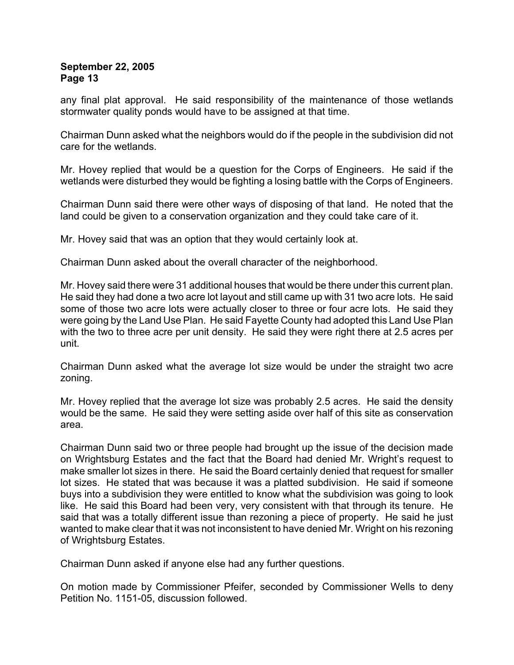any final plat approval. He said responsibility of the maintenance of those wetlands stormwater quality ponds would have to be assigned at that time.

Chairman Dunn asked what the neighbors would do if the people in the subdivision did not care for the wetlands.

Mr. Hovey replied that would be a question for the Corps of Engineers. He said if the wetlands were disturbed they would be fighting a losing battle with the Corps of Engineers.

Chairman Dunn said there were other ways of disposing of that land. He noted that the land could be given to a conservation organization and they could take care of it.

Mr. Hovey said that was an option that they would certainly look at.

Chairman Dunn asked about the overall character of the neighborhood.

Mr. Hovey said there were 31 additional houses that would be there under this current plan. He said they had done a two acre lot layout and still came up with 31 two acre lots. He said some of those two acre lots were actually closer to three or four acre lots. He said they were going by the Land Use Plan. He said Fayette County had adopted this Land Use Plan with the two to three acre per unit density. He said they were right there at 2.5 acres per unit.

Chairman Dunn asked what the average lot size would be under the straight two acre zoning.

Mr. Hovey replied that the average lot size was probably 2.5 acres. He said the density would be the same. He said they were setting aside over half of this site as conservation area.

Chairman Dunn said two or three people had brought up the issue of the decision made on Wrightsburg Estates and the fact that the Board had denied Mr. Wright's request to make smaller lot sizes in there. He said the Board certainly denied that request for smaller lot sizes. He stated that was because it was a platted subdivision. He said if someone buys into a subdivision they were entitled to know what the subdivision was going to look like. He said this Board had been very, very consistent with that through its tenure. He said that was a totally different issue than rezoning a piece of property. He said he just wanted to make clear that it was not inconsistent to have denied Mr. Wright on his rezoning of Wrightsburg Estates.

Chairman Dunn asked if anyone else had any further questions.

On motion made by Commissioner Pfeifer, seconded by Commissioner Wells to deny Petition No. 1151-05, discussion followed.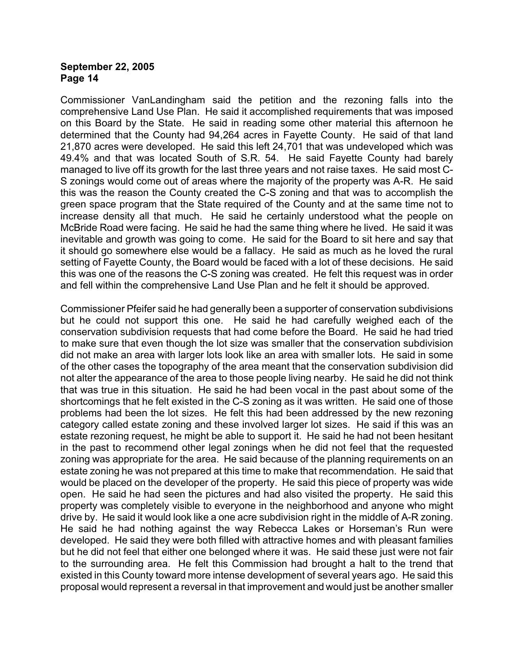Commissioner VanLandingham said the petition and the rezoning falls into the comprehensive Land Use Plan. He said it accomplished requirements that was imposed on this Board by the State. He said in reading some other material this afternoon he determined that the County had 94,264 acres in Fayette County. He said of that land 21,870 acres were developed. He said this left 24,701 that was undeveloped which was 49.4% and that was located South of S.R. 54. He said Fayette County had barely managed to live off its growth for the last three years and not raise taxes. He said most C-S zonings would come out of areas where the majority of the property was A-R. He said this was the reason the County created the C-S zoning and that was to accomplish the green space program that the State required of the County and at the same time not to increase density all that much. He said he certainly understood what the people on McBride Road were facing. He said he had the same thing where he lived. He said it was inevitable and growth was going to come. He said for the Board to sit here and say that it should go somewhere else would be a fallacy. He said as much as he loved the rural setting of Fayette County, the Board would be faced with a lot of these decisions. He said this was one of the reasons the C-S zoning was created. He felt this request was in order and fell within the comprehensive Land Use Plan and he felt it should be approved.

Commissioner Pfeifer said he had generally been a supporter of conservation subdivisions but he could not support this one. He said he had carefully weighed each of the conservation subdivision requests that had come before the Board. He said he had tried to make sure that even though the lot size was smaller that the conservation subdivision did not make an area with larger lots look like an area with smaller lots. He said in some of the other cases the topography of the area meant that the conservation subdivision did not alter the appearance of the area to those people living nearby. He said he did not think that was true in this situation. He said he had been vocal in the past about some of the shortcomings that he felt existed in the C-S zoning as it was written. He said one of those problems had been the lot sizes. He felt this had been addressed by the new rezoning category called estate zoning and these involved larger lot sizes. He said if this was an estate rezoning request, he might be able to support it. He said he had not been hesitant in the past to recommend other legal zonings when he did not feel that the requested zoning was appropriate for the area. He said because of the planning requirements on an estate zoning he was not prepared at this time to make that recommendation. He said that would be placed on the developer of the property. He said this piece of property was wide open. He said he had seen the pictures and had also visited the property. He said this property was completely visible to everyone in the neighborhood and anyone who might drive by. He said it would look like a one acre subdivision right in the middle of A-R zoning. He said he had nothing against the way Rebecca Lakes or Horseman's Run were developed. He said they were both filled with attractive homes and with pleasant families but he did not feel that either one belonged where it was. He said these just were not fair to the surrounding area. He felt this Commission had brought a halt to the trend that existed in this County toward more intense development of several years ago. He said this proposal would represent a reversal in that improvement and would just be another smaller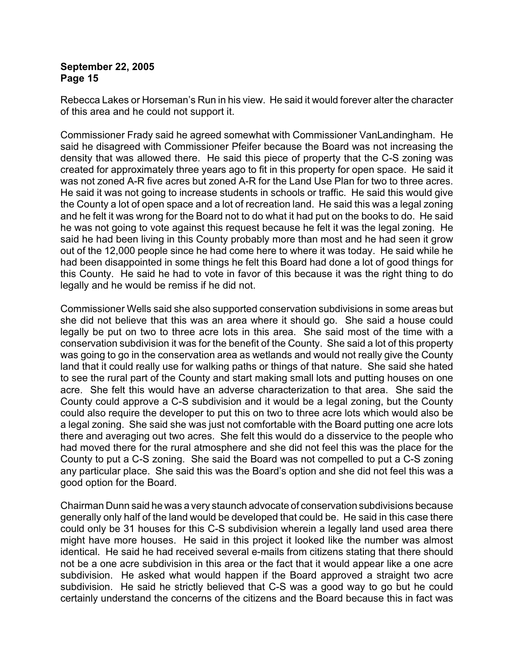Rebecca Lakes or Horseman's Run in his view. He said it would forever alter the character of this area and he could not support it.

Commissioner Frady said he agreed somewhat with Commissioner VanLandingham. He said he disagreed with Commissioner Pfeifer because the Board was not increasing the density that was allowed there. He said this piece of property that the C-S zoning was created for approximately three years ago to fit in this property for open space. He said it was not zoned A-R five acres but zoned A-R for the Land Use Plan for two to three acres. He said it was not going to increase students in schools or traffic. He said this would give the County a lot of open space and a lot of recreation land. He said this was a legal zoning and he felt it was wrong for the Board not to do what it had put on the books to do. He said he was not going to vote against this request because he felt it was the legal zoning. He said he had been living in this County probably more than most and he had seen it grow out of the 12,000 people since he had come here to where it was today. He said while he had been disappointed in some things he felt this Board had done a lot of good things for this County. He said he had to vote in favor of this because it was the right thing to do legally and he would be remiss if he did not.

Commissioner Wells said she also supported conservation subdivisions in some areas but she did not believe that this was an area where it should go. She said a house could legally be put on two to three acre lots in this area. She said most of the time with a conservation subdivision it was for the benefit of the County. She said a lot of this property was going to go in the conservation area as wetlands and would not really give the County land that it could really use for walking paths or things of that nature. She said she hated to see the rural part of the County and start making small lots and putting houses on one acre. She felt this would have an adverse characterization to that area. She said the County could approve a C-S subdivision and it would be a legal zoning, but the County could also require the developer to put this on two to three acre lots which would also be a legal zoning. She said she was just not comfortable with the Board putting one acre lots there and averaging out two acres. She felt this would do a disservice to the people who had moved there for the rural atmosphere and she did not feel this was the place for the County to put a C-S zoning. She said the Board was not compelled to put a C-S zoning any particular place. She said this was the Board's option and she did not feel this was a good option for the Board.

Chairman Dunn said he was a very staunch advocate of conservation subdivisions because generally only half of the land would be developed that could be. He said in this case there could only be 31 houses for this C-S subdivision wherein a legally land used area there might have more houses. He said in this project it looked like the number was almost identical. He said he had received several e-mails from citizens stating that there should not be a one acre subdivision in this area or the fact that it would appear like a one acre subdivision. He asked what would happen if the Board approved a straight two acre subdivision. He said he strictly believed that C-S was a good way to go but he could certainly understand the concerns of the citizens and the Board because this in fact was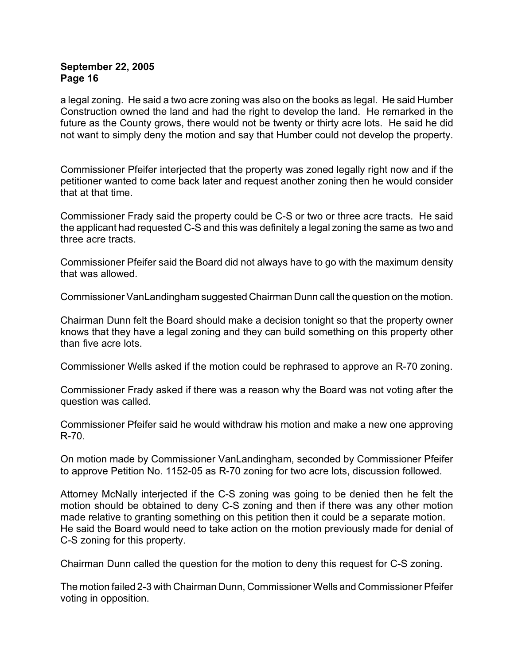a legal zoning. He said a two acre zoning was also on the books as legal. He said Humber Construction owned the land and had the right to develop the land. He remarked in the future as the County grows, there would not be twenty or thirty acre lots. He said he did not want to simply deny the motion and say that Humber could not develop the property.

Commissioner Pfeifer interjected that the property was zoned legally right now and if the petitioner wanted to come back later and request another zoning then he would consider that at that time.

Commissioner Frady said the property could be C-S or two or three acre tracts. He said the applicant had requested C-S and this was definitely a legal zoning the same as two and three acre tracts.

Commissioner Pfeifer said the Board did not always have to go with the maximum density that was allowed.

Commissioner VanLandingham suggested Chairman Dunn call the question on the motion.

Chairman Dunn felt the Board should make a decision tonight so that the property owner knows that they have a legal zoning and they can build something on this property other than five acre lots.

Commissioner Wells asked if the motion could be rephrased to approve an R-70 zoning.

Commissioner Frady asked if there was a reason why the Board was not voting after the question was called.

Commissioner Pfeifer said he would withdraw his motion and make a new one approving R-70.

On motion made by Commissioner VanLandingham, seconded by Commissioner Pfeifer to approve Petition No. 1152-05 as R-70 zoning for two acre lots, discussion followed.

Attorney McNally interjected if the C-S zoning was going to be denied then he felt the motion should be obtained to deny C-S zoning and then if there was any other motion made relative to granting something on this petition then it could be a separate motion. He said the Board would need to take action on the motion previously made for denial of C-S zoning for this property.

Chairman Dunn called the question for the motion to deny this request for C-S zoning.

The motion failed 2-3 with Chairman Dunn, Commissioner Wells and Commissioner Pfeifer voting in opposition.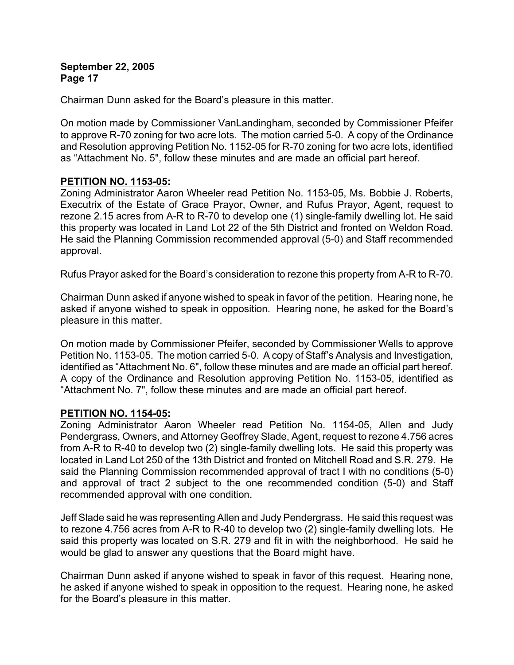Chairman Dunn asked for the Board's pleasure in this matter.

On motion made by Commissioner VanLandingham, seconded by Commissioner Pfeifer to approve R-70 zoning for two acre lots. The motion carried 5-0. A copy of the Ordinance and Resolution approving Petition No. 1152-05 for R-70 zoning for two acre lots, identified as "Attachment No. 5", follow these minutes and are made an official part hereof.

# **PETITION NO. 1153-05:**

Zoning Administrator Aaron Wheeler read Petition No. 1153-05, Ms. Bobbie J. Roberts, Executrix of the Estate of Grace Prayor, Owner, and Rufus Prayor, Agent, request to rezone 2.15 acres from A-R to R-70 to develop one (1) single-family dwelling lot. He said this property was located in Land Lot 22 of the 5th District and fronted on Weldon Road. He said the Planning Commission recommended approval (5-0) and Staff recommended approval.

Rufus Prayor asked for the Board's consideration to rezone this property from A-R to R-70.

Chairman Dunn asked if anyone wished to speak in favor of the petition. Hearing none, he asked if anyone wished to speak in opposition. Hearing none, he asked for the Board's pleasure in this matter.

On motion made by Commissioner Pfeifer, seconded by Commissioner Wells to approve Petition No. 1153-05. The motion carried 5-0. A copy of Staff's Analysis and Investigation, identified as "Attachment No. 6", follow these minutes and are made an official part hereof. A copy of the Ordinance and Resolution approving Petition No. 1153-05, identified as "Attachment No. 7", follow these minutes and are made an official part hereof.

### **PETITION NO. 1154-05:**

Zoning Administrator Aaron Wheeler read Petition No. 1154-05, Allen and Judy Pendergrass, Owners, and Attorney Geoffrey Slade, Agent, request to rezone 4.756 acres from A-R to R-40 to develop two (2) single-family dwelling lots. He said this property was located in Land Lot 250 of the 13th District and fronted on Mitchell Road and S.R. 279. He said the Planning Commission recommended approval of tract I with no conditions (5-0) and approval of tract 2 subject to the one recommended condition (5-0) and Staff recommended approval with one condition.

Jeff Slade said he was representing Allen and Judy Pendergrass. He said this request was to rezone 4.756 acres from A-R to R-40 to develop two (2) single-family dwelling lots. He said this property was located on S.R. 279 and fit in with the neighborhood. He said he would be glad to answer any questions that the Board might have.

Chairman Dunn asked if anyone wished to speak in favor of this request. Hearing none, he asked if anyone wished to speak in opposition to the request. Hearing none, he asked for the Board's pleasure in this matter.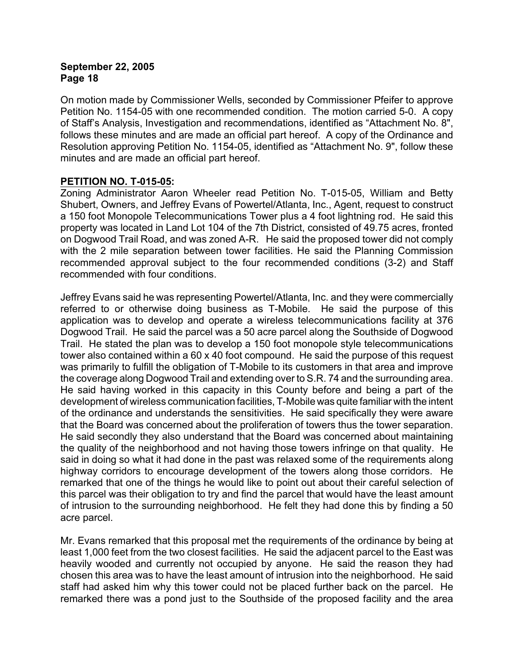On motion made by Commissioner Wells, seconded by Commissioner Pfeifer to approve Petition No. 1154-05 with one recommended condition. The motion carried 5-0. A copy of Staff's Analysis, Investigation and recommendations, identified as "Attachment No. 8", follows these minutes and are made an official part hereof. A copy of the Ordinance and Resolution approving Petition No. 1154-05, identified as "Attachment No. 9", follow these minutes and are made an official part hereof.

# **PETITION NO. T-015-05:**

Zoning Administrator Aaron Wheeler read Petition No. T-015-05, William and Betty Shubert, Owners, and Jeffrey Evans of Powertel/Atlanta, Inc., Agent, request to construct a 150 foot Monopole Telecommunications Tower plus a 4 foot lightning rod. He said this property was located in Land Lot 104 of the 7th District, consisted of 49.75 acres, fronted on Dogwood Trail Road, and was zoned A-R. He said the proposed tower did not comply with the 2 mile separation between tower facilities. He said the Planning Commission recommended approval subject to the four recommended conditions (3-2) and Staff recommended with four conditions.

Jeffrey Evans said he was representing Powertel/Atlanta, Inc. and they were commercially referred to or otherwise doing business as T-Mobile. He said the purpose of this application was to develop and operate a wireless telecommunications facility at 376 Dogwood Trail. He said the parcel was a 50 acre parcel along the Southside of Dogwood Trail. He stated the plan was to develop a 150 foot monopole style telecommunications tower also contained within a 60 x 40 foot compound. He said the purpose of this request was primarily to fulfill the obligation of T-Mobile to its customers in that area and improve the coverage along Dogwood Trail and extending over to S.R. 74 and the surrounding area. He said having worked in this capacity in this County before and being a part of the development of wireless communication facilities, T-Mobile was quite familiar with the intent of the ordinance and understands the sensitivities. He said specifically they were aware that the Board was concerned about the proliferation of towers thus the tower separation. He said secondly they also understand that the Board was concerned about maintaining the quality of the neighborhood and not having those towers infringe on that quality. He said in doing so what it had done in the past was relaxed some of the requirements along highway corridors to encourage development of the towers along those corridors. He remarked that one of the things he would like to point out about their careful selection of this parcel was their obligation to try and find the parcel that would have the least amount of intrusion to the surrounding neighborhood. He felt they had done this by finding a 50 acre parcel.

Mr. Evans remarked that this proposal met the requirements of the ordinance by being at least 1,000 feet from the two closest facilities. He said the adjacent parcel to the East was heavily wooded and currently not occupied by anyone. He said the reason they had chosen this area was to have the least amount of intrusion into the neighborhood. He said staff had asked him why this tower could not be placed further back on the parcel. He remarked there was a pond just to the Southside of the proposed facility and the area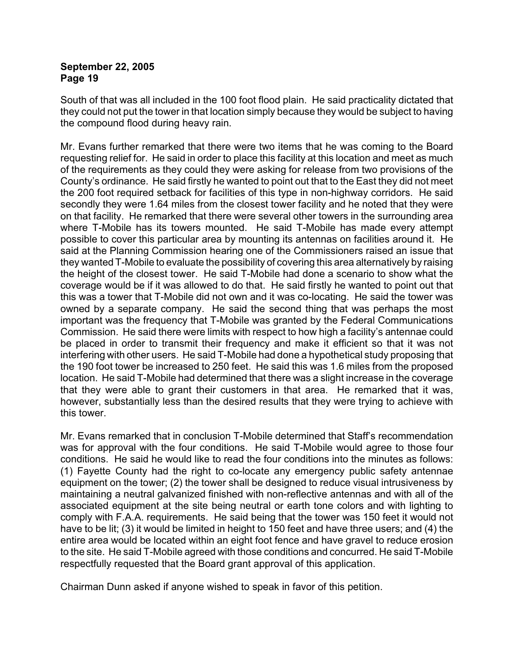South of that was all included in the 100 foot flood plain. He said practicality dictated that they could not put the tower in that location simply because they would be subject to having the compound flood during heavy rain.

Mr. Evans further remarked that there were two items that he was coming to the Board requesting relief for. He said in order to place this facility at this location and meet as much of the requirements as they could they were asking for release from two provisions of the County's ordinance. He said firstly he wanted to point out that to the East they did not meet the 200 foot required setback for facilities of this type in non-highway corridors. He said secondly they were 1.64 miles from the closest tower facility and he noted that they were on that facility. He remarked that there were several other towers in the surrounding area where T-Mobile has its towers mounted. He said T-Mobile has made every attempt possible to cover this particular area by mounting its antennas on facilities around it. He said at the Planning Commission hearing one of the Commissioners raised an issue that they wanted T-Mobile to evaluate the possibility of covering this area alternatively by raising the height of the closest tower. He said T-Mobile had done a scenario to show what the coverage would be if it was allowed to do that. He said firstly he wanted to point out that this was a tower that T-Mobile did not own and it was co-locating. He said the tower was owned by a separate company. He said the second thing that was perhaps the most important was the frequency that T-Mobile was granted by the Federal Communications Commission. He said there were limits with respect to how high a facility's antennae could be placed in order to transmit their frequency and make it efficient so that it was not interfering with other users. He said T-Mobile had done a hypothetical study proposing that the 190 foot tower be increased to 250 feet. He said this was 1.6 miles from the proposed location. He said T-Mobile had determined that there was a slight increase in the coverage that they were able to grant their customers in that area. He remarked that it was, however, substantially less than the desired results that they were trying to achieve with this tower.

Mr. Evans remarked that in conclusion T-Mobile determined that Staff's recommendation was for approval with the four conditions. He said T-Mobile would agree to those four conditions. He said he would like to read the four conditions into the minutes as follows: (1) Fayette County had the right to co-locate any emergency public safety antennae equipment on the tower; (2) the tower shall be designed to reduce visual intrusiveness by maintaining a neutral galvanized finished with non-reflective antennas and with all of the associated equipment at the site being neutral or earth tone colors and with lighting to comply with F.A.A. requirements. He said being that the tower was 150 feet it would not have to be lit; (3) it would be limited in height to 150 feet and have three users; and (4) the entire area would be located within an eight foot fence and have gravel to reduce erosion to the site. He said T-Mobile agreed with those conditions and concurred. He said T-Mobile respectfully requested that the Board grant approval of this application.

Chairman Dunn asked if anyone wished to speak in favor of this petition.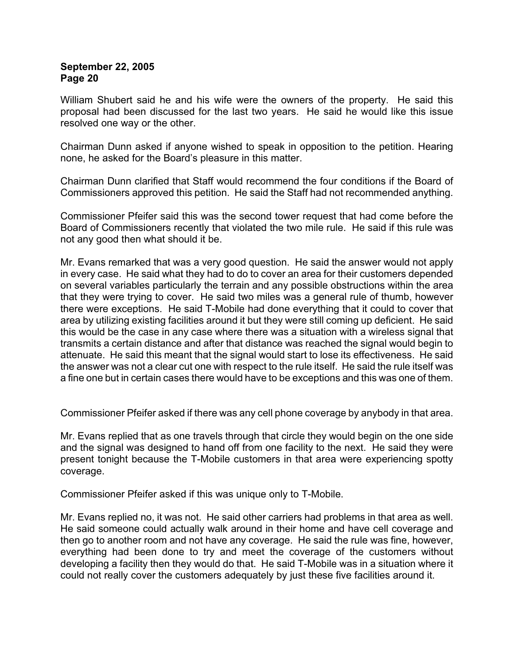William Shubert said he and his wife were the owners of the property. He said this proposal had been discussed for the last two years. He said he would like this issue resolved one way or the other.

Chairman Dunn asked if anyone wished to speak in opposition to the petition. Hearing none, he asked for the Board's pleasure in this matter.

Chairman Dunn clarified that Staff would recommend the four conditions if the Board of Commissioners approved this petition. He said the Staff had not recommended anything.

Commissioner Pfeifer said this was the second tower request that had come before the Board of Commissioners recently that violated the two mile rule. He said if this rule was not any good then what should it be.

Mr. Evans remarked that was a very good question. He said the answer would not apply in every case. He said what they had to do to cover an area for their customers depended on several variables particularly the terrain and any possible obstructions within the area that they were trying to cover. He said two miles was a general rule of thumb, however there were exceptions. He said T-Mobile had done everything that it could to cover that area by utilizing existing facilities around it but they were still coming up deficient. He said this would be the case in any case where there was a situation with a wireless signal that transmits a certain distance and after that distance was reached the signal would begin to attenuate. He said this meant that the signal would start to lose its effectiveness. He said the answer was not a clear cut one with respect to the rule itself. He said the rule itself was a fine one but in certain cases there would have to be exceptions and this was one of them.

Commissioner Pfeifer asked if there was any cell phone coverage by anybody in that area.

Mr. Evans replied that as one travels through that circle they would begin on the one side and the signal was designed to hand off from one facility to the next. He said they were present tonight because the T-Mobile customers in that area were experiencing spotty coverage.

Commissioner Pfeifer asked if this was unique only to T-Mobile.

Mr. Evans replied no, it was not. He said other carriers had problems in that area as well. He said someone could actually walk around in their home and have cell coverage and then go to another room and not have any coverage. He said the rule was fine, however, everything had been done to try and meet the coverage of the customers without developing a facility then they would do that. He said T-Mobile was in a situation where it could not really cover the customers adequately by just these five facilities around it.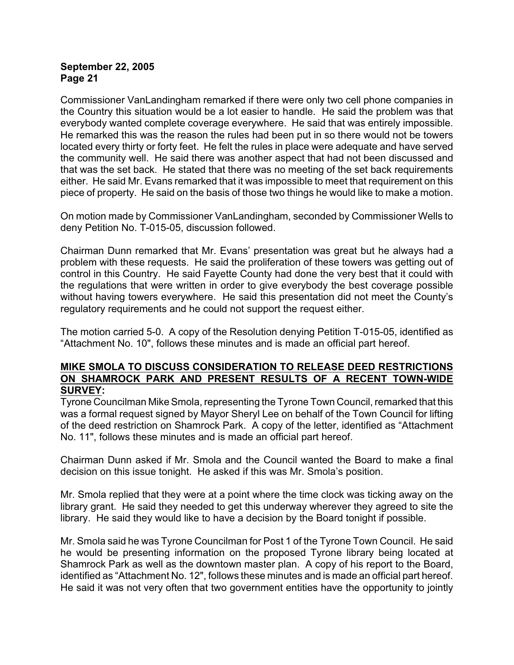Commissioner VanLandingham remarked if there were only two cell phone companies in the Country this situation would be a lot easier to handle. He said the problem was that everybody wanted complete coverage everywhere. He said that was entirely impossible. He remarked this was the reason the rules had been put in so there would not be towers located every thirty or forty feet. He felt the rules in place were adequate and have served the community well. He said there was another aspect that had not been discussed and that was the set back. He stated that there was no meeting of the set back requirements either. He said Mr. Evans remarked that it was impossible to meet that requirement on this piece of property. He said on the basis of those two things he would like to make a motion.

On motion made by Commissioner VanLandingham, seconded by Commissioner Wells to deny Petition No. T-015-05, discussion followed.

Chairman Dunn remarked that Mr. Evans' presentation was great but he always had a problem with these requests. He said the proliferation of these towers was getting out of control in this Country. He said Fayette County had done the very best that it could with the regulations that were written in order to give everybody the best coverage possible without having towers everywhere. He said this presentation did not meet the County's regulatory requirements and he could not support the request either.

The motion carried 5-0. A copy of the Resolution denying Petition T-015-05, identified as "Attachment No. 10", follows these minutes and is made an official part hereof.

### **MIKE SMOLA TO DISCUSS CONSIDERATION TO RELEASE DEED RESTRICTIONS ON SHAMROCK PARK AND PRESENT RESULTS OF A RECENT TOWN-WIDE SURVEY:**

Tyrone Councilman Mike Smola, representing the Tyrone Town Council, remarked that this was a formal request signed by Mayor Sheryl Lee on behalf of the Town Council for lifting of the deed restriction on Shamrock Park. A copy of the letter, identified as "Attachment No. 11", follows these minutes and is made an official part hereof.

Chairman Dunn asked if Mr. Smola and the Council wanted the Board to make a final decision on this issue tonight. He asked if this was Mr. Smola's position.

Mr. Smola replied that they were at a point where the time clock was ticking away on the library grant. He said they needed to get this underway wherever they agreed to site the library. He said they would like to have a decision by the Board tonight if possible.

Mr. Smola said he was Tyrone Councilman for Post 1 of the Tyrone Town Council. He said he would be presenting information on the proposed Tyrone library being located at Shamrock Park as well as the downtown master plan. A copy of his report to the Board, identified as "Attachment No. 12", follows these minutes and is made an official part hereof. He said it was not very often that two government entities have the opportunity to jointly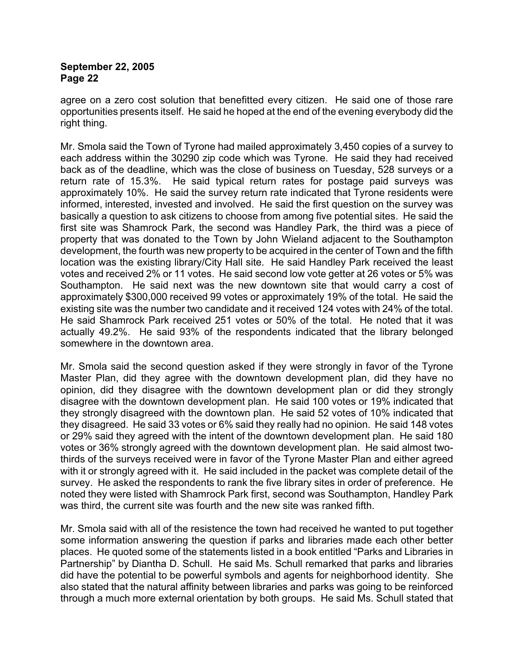agree on a zero cost solution that benefitted every citizen. He said one of those rare opportunities presents itself. He said he hoped at the end of the evening everybody did the right thing.

Mr. Smola said the Town of Tyrone had mailed approximately 3,450 copies of a survey to each address within the 30290 zip code which was Tyrone. He said they had received back as of the deadline, which was the close of business on Tuesday, 528 surveys or a return rate of 15.3%. He said typical return rates for postage paid surveys was approximately 10%. He said the survey return rate indicated that Tyrone residents were informed, interested, invested and involved. He said the first question on the survey was basically a question to ask citizens to choose from among five potential sites. He said the first site was Shamrock Park, the second was Handley Park, the third was a piece of property that was donated to the Town by John Wieland adjacent to the Southampton development, the fourth was new property to be acquired in the center of Town and the fifth location was the existing library/City Hall site. He said Handley Park received the least votes and received 2% or 11 votes. He said second low vote getter at 26 votes or 5% was Southampton. He said next was the new downtown site that would carry a cost of approximately \$300,000 received 99 votes or approximately 19% of the total. He said the existing site was the number two candidate and it received 124 votes with 24% of the total. He said Shamrock Park received 251 votes or 50% of the total. He noted that it was actually 49.2%. He said 93% of the respondents indicated that the library belonged somewhere in the downtown area.

Mr. Smola said the second question asked if they were strongly in favor of the Tyrone Master Plan, did they agree with the downtown development plan, did they have no opinion, did they disagree with the downtown development plan or did they strongly disagree with the downtown development plan. He said 100 votes or 19% indicated that they strongly disagreed with the downtown plan. He said 52 votes of 10% indicated that they disagreed. He said 33 votes or 6% said they really had no opinion. He said 148 votes or 29% said they agreed with the intent of the downtown development plan. He said 180 votes or 36% strongly agreed with the downtown development plan. He said almost twothirds of the surveys received were in favor of the Tyrone Master Plan and either agreed with it or strongly agreed with it. He said included in the packet was complete detail of the survey. He asked the respondents to rank the five library sites in order of preference. He noted they were listed with Shamrock Park first, second was Southampton, Handley Park was third, the current site was fourth and the new site was ranked fifth.

Mr. Smola said with all of the resistence the town had received he wanted to put together some information answering the question if parks and libraries made each other better places. He quoted some of the statements listed in a book entitled "Parks and Libraries in Partnership" by Diantha D. Schull. He said Ms. Schull remarked that parks and libraries did have the potential to be powerful symbols and agents for neighborhood identity. She also stated that the natural affinity between libraries and parks was going to be reinforced through a much more external orientation by both groups. He said Ms. Schull stated that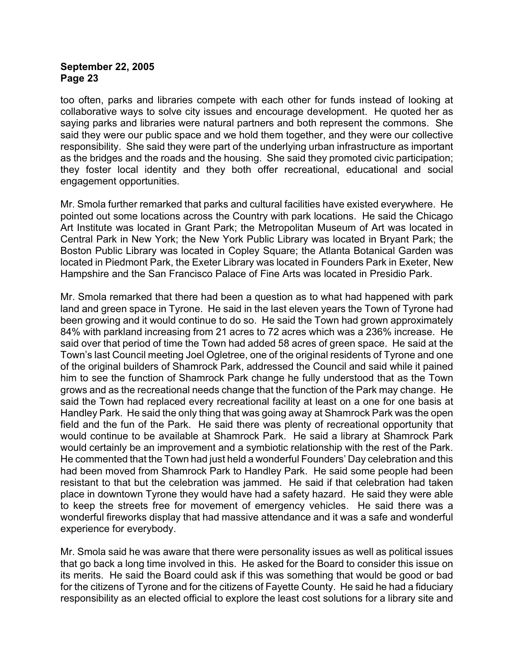too often, parks and libraries compete with each other for funds instead of looking at collaborative ways to solve city issues and encourage development. He quoted her as saying parks and libraries were natural partners and both represent the commons. She said they were our public space and we hold them together, and they were our collective responsibility. She said they were part of the underlying urban infrastructure as important as the bridges and the roads and the housing. She said they promoted civic participation; they foster local identity and they both offer recreational, educational and social engagement opportunities.

Mr. Smola further remarked that parks and cultural facilities have existed everywhere. He pointed out some locations across the Country with park locations. He said the Chicago Art Institute was located in Grant Park; the Metropolitan Museum of Art was located in Central Park in New York; the New York Public Library was located in Bryant Park; the Boston Public Library was located in Copley Square; the Atlanta Botanical Garden was located in Piedmont Park, the Exeter Library was located in Founders Park in Exeter, New Hampshire and the San Francisco Palace of Fine Arts was located in Presidio Park.

Mr. Smola remarked that there had been a question as to what had happened with park land and green space in Tyrone. He said in the last eleven years the Town of Tyrone had been growing and it would continue to do so. He said the Town had grown approximately 84% with parkland increasing from 21 acres to 72 acres which was a 236% increase. He said over that period of time the Town had added 58 acres of green space. He said at the Town's last Council meeting Joel Ogletree, one of the original residents of Tyrone and one of the original builders of Shamrock Park, addressed the Council and said while it pained him to see the function of Shamrock Park change he fully understood that as the Town grows and as the recreational needs change that the function of the Park may change. He said the Town had replaced every recreational facility at least on a one for one basis at Handley Park. He said the only thing that was going away at Shamrock Park was the open field and the fun of the Park. He said there was plenty of recreational opportunity that would continue to be available at Shamrock Park. He said a library at Shamrock Park would certainly be an improvement and a symbiotic relationship with the rest of the Park. He commented that the Town had just held a wonderful Founders' Day celebration and this had been moved from Shamrock Park to Handley Park. He said some people had been resistant to that but the celebration was jammed. He said if that celebration had taken place in downtown Tyrone they would have had a safety hazard. He said they were able to keep the streets free for movement of emergency vehicles. He said there was a wonderful fireworks display that had massive attendance and it was a safe and wonderful experience for everybody.

Mr. Smola said he was aware that there were personality issues as well as political issues that go back a long time involved in this. He asked for the Board to consider this issue on its merits. He said the Board could ask if this was something that would be good or bad for the citizens of Tyrone and for the citizens of Fayette County. He said he had a fiduciary responsibility as an elected official to explore the least cost solutions for a library site and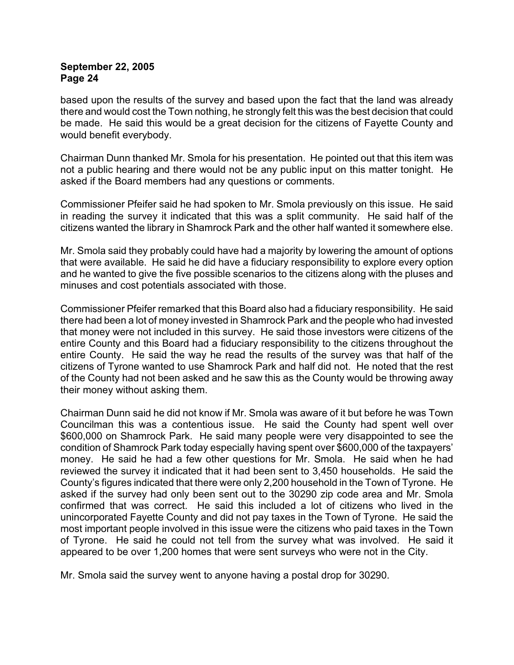based upon the results of the survey and based upon the fact that the land was already there and would cost the Town nothing, he strongly felt this was the best decision that could be made. He said this would be a great decision for the citizens of Fayette County and would benefit everybody.

Chairman Dunn thanked Mr. Smola for his presentation. He pointed out that this item was not a public hearing and there would not be any public input on this matter tonight. He asked if the Board members had any questions or comments.

Commissioner Pfeifer said he had spoken to Mr. Smola previously on this issue. He said in reading the survey it indicated that this was a split community. He said half of the citizens wanted the library in Shamrock Park and the other half wanted it somewhere else.

Mr. Smola said they probably could have had a majority by lowering the amount of options that were available. He said he did have a fiduciary responsibility to explore every option and he wanted to give the five possible scenarios to the citizens along with the pluses and minuses and cost potentials associated with those.

Commissioner Pfeifer remarked that this Board also had a fiduciary responsibility. He said there had been a lot of money invested in Shamrock Park and the people who had invested that money were not included in this survey. He said those investors were citizens of the entire County and this Board had a fiduciary responsibility to the citizens throughout the entire County. He said the way he read the results of the survey was that half of the citizens of Tyrone wanted to use Shamrock Park and half did not. He noted that the rest of the County had not been asked and he saw this as the County would be throwing away their money without asking them.

Chairman Dunn said he did not know if Mr. Smola was aware of it but before he was Town Councilman this was a contentious issue. He said the County had spent well over \$600,000 on Shamrock Park. He said many people were very disappointed to see the condition of Shamrock Park today especially having spent over \$600,000 of the taxpayers' money. He said he had a few other questions for Mr. Smola. He said when he had reviewed the survey it indicated that it had been sent to 3,450 households. He said the County's figures indicated that there were only 2,200 household in the Town of Tyrone. He asked if the survey had only been sent out to the 30290 zip code area and Mr. Smola confirmed that was correct. He said this included a lot of citizens who lived in the unincorporated Fayette County and did not pay taxes in the Town of Tyrone. He said the most important people involved in this issue were the citizens who paid taxes in the Town of Tyrone. He said he could not tell from the survey what was involved. He said it appeared to be over 1,200 homes that were sent surveys who were not in the City.

Mr. Smola said the survey went to anyone having a postal drop for 30290.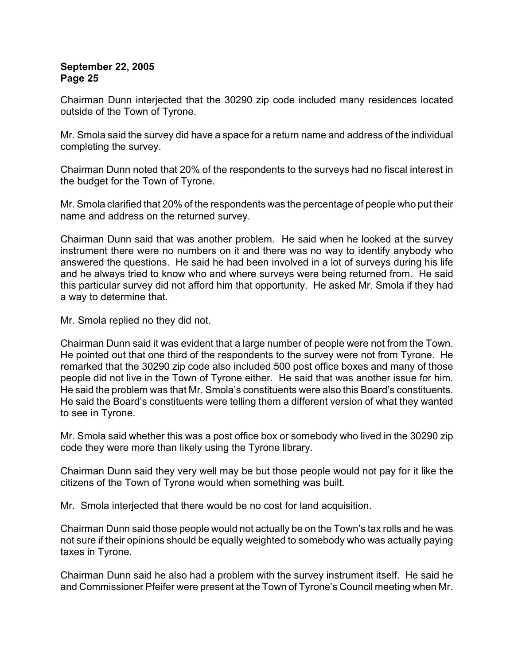Chairman Dunn interjected that the 30290 zip code included many residences located outside of the Town of Tyrone.

Mr. Smola said the survey did have a space for a return name and address of the individual completing the survey.

Chairman Dunn noted that 20% of the respondents to the surveys had no fiscal interest in the budget for the Town of Tyrone.

Mr. Smola clarified that 20% of the respondents was the percentage of people who put their name and address on the returned survey.

Chairman Dunn said that was another problem. He said when he looked at the survey instrument there were no numbers on it and there was no way to identify anybody who answered the questions. He said he had been involved in a lot of surveys during his life and he always tried to know who and where surveys were being returned from. He said this particular survey did not afford him that opportunity. He asked Mr. Smola if they had a way to determine that.

Mr. Smola replied no they did not.

Chairman Dunn said it was evident that a large number of people were not from the Town. He pointed out that one third of the respondents to the survey were not from Tyrone. He remarked that the 30290 zip code also included 500 post office boxes and many of those people did not live in the Town of Tyrone either. He said that was another issue for him. He said the problem was that Mr. Smola's constituents were also this Board's constituents. He said the Board's constituents were telling them a different version of what they wanted to see in Tyrone.

Mr. Smola said whether this was a post office box or somebody who lived in the 30290 zip code they were more than likely using the Tyrone library.

Chairman Dunn said they very well may be but those people would not pay for it like the citizens of the Town of Tyrone would when something was built.

Mr. Smola interjected that there would be no cost for land acquisition.

Chairman Dunn said those people would not actually be on the Town's tax rolls and he was not sure if their opinions should be equally weighted to somebody who was actually paying taxes in Tyrone.

Chairman Dunn said he also had a problem with the survey instrument itself. He said he and Commissioner Pfeifer were present at the Town of Tyrone's Council meeting when Mr.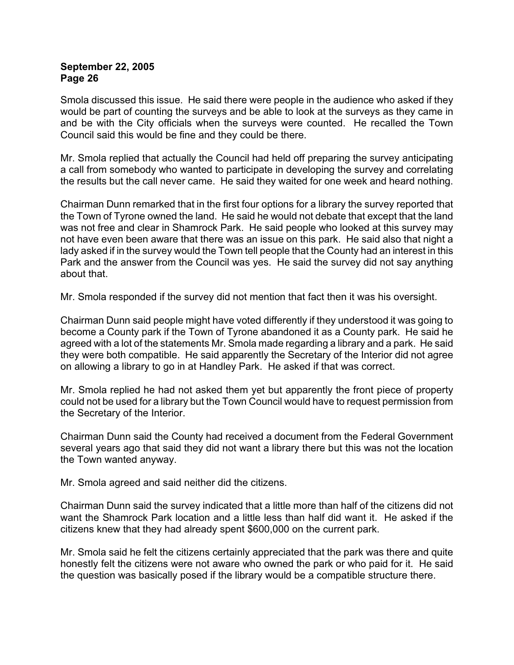Smola discussed this issue. He said there were people in the audience who asked if they would be part of counting the surveys and be able to look at the surveys as they came in and be with the City officials when the surveys were counted. He recalled the Town Council said this would be fine and they could be there.

Mr. Smola replied that actually the Council had held off preparing the survey anticipating a call from somebody who wanted to participate in developing the survey and correlating the results but the call never came. He said they waited for one week and heard nothing.

Chairman Dunn remarked that in the first four options for a library the survey reported that the Town of Tyrone owned the land. He said he would not debate that except that the land was not free and clear in Shamrock Park. He said people who looked at this survey may not have even been aware that there was an issue on this park. He said also that night a lady asked if in the survey would the Town tell people that the County had an interest in this Park and the answer from the Council was yes. He said the survey did not say anything about that.

Mr. Smola responded if the survey did not mention that fact then it was his oversight.

Chairman Dunn said people might have voted differently if they understood it was going to become a County park if the Town of Tyrone abandoned it as a County park. He said he agreed with a lot of the statements Mr. Smola made regarding a library and a park. He said they were both compatible. He said apparently the Secretary of the Interior did not agree on allowing a library to go in at Handley Park. He asked if that was correct.

Mr. Smola replied he had not asked them yet but apparently the front piece of property could not be used for a library but the Town Council would have to request permission from the Secretary of the Interior.

Chairman Dunn said the County had received a document from the Federal Government several years ago that said they did not want a library there but this was not the location the Town wanted anyway.

Mr. Smola agreed and said neither did the citizens.

Chairman Dunn said the survey indicated that a little more than half of the citizens did not want the Shamrock Park location and a little less than half did want it. He asked if the citizens knew that they had already spent \$600,000 on the current park.

Mr. Smola said he felt the citizens certainly appreciated that the park was there and quite honestly felt the citizens were not aware who owned the park or who paid for it. He said the question was basically posed if the library would be a compatible structure there.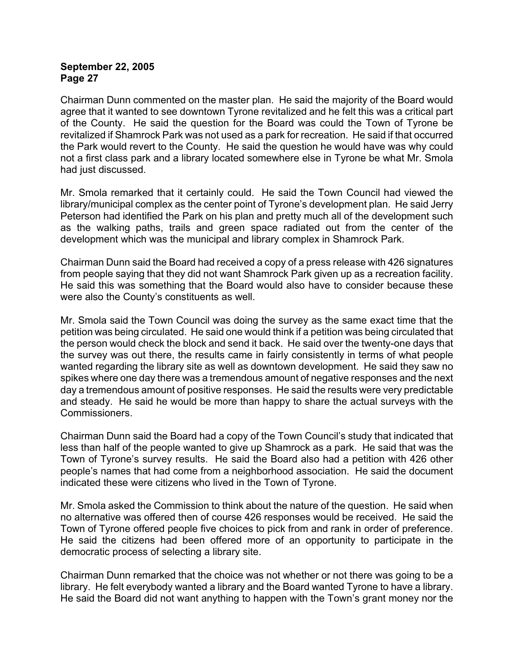Chairman Dunn commented on the master plan. He said the majority of the Board would agree that it wanted to see downtown Tyrone revitalized and he felt this was a critical part of the County. He said the question for the Board was could the Town of Tyrone be revitalized if Shamrock Park was not used as a park for recreation. He said if that occurred the Park would revert to the County. He said the question he would have was why could not a first class park and a library located somewhere else in Tyrone be what Mr. Smola had just discussed.

Mr. Smola remarked that it certainly could. He said the Town Council had viewed the library/municipal complex as the center point of Tyrone's development plan. He said Jerry Peterson had identified the Park on his plan and pretty much all of the development such as the walking paths, trails and green space radiated out from the center of the development which was the municipal and library complex in Shamrock Park.

Chairman Dunn said the Board had received a copy of a press release with 426 signatures from people saying that they did not want Shamrock Park given up as a recreation facility. He said this was something that the Board would also have to consider because these were also the County's constituents as well.

Mr. Smola said the Town Council was doing the survey as the same exact time that the petition was being circulated. He said one would think if a petition was being circulated that the person would check the block and send it back. He said over the twenty-one days that the survey was out there, the results came in fairly consistently in terms of what people wanted regarding the library site as well as downtown development. He said they saw no spikes where one day there was a tremendous amount of negative responses and the next day a tremendous amount of positive responses. He said the results were very predictable and steady. He said he would be more than happy to share the actual surveys with the Commissioners.

Chairman Dunn said the Board had a copy of the Town Council's study that indicated that less than half of the people wanted to give up Shamrock as a park. He said that was the Town of Tyrone's survey results. He said the Board also had a petition with 426 other people's names that had come from a neighborhood association. He said the document indicated these were citizens who lived in the Town of Tyrone.

Mr. Smola asked the Commission to think about the nature of the question. He said when no alternative was offered then of course 426 responses would be received. He said the Town of Tyrone offered people five choices to pick from and rank in order of preference. He said the citizens had been offered more of an opportunity to participate in the democratic process of selecting a library site.

Chairman Dunn remarked that the choice was not whether or not there was going to be a library. He felt everybody wanted a library and the Board wanted Tyrone to have a library. He said the Board did not want anything to happen with the Town's grant money nor the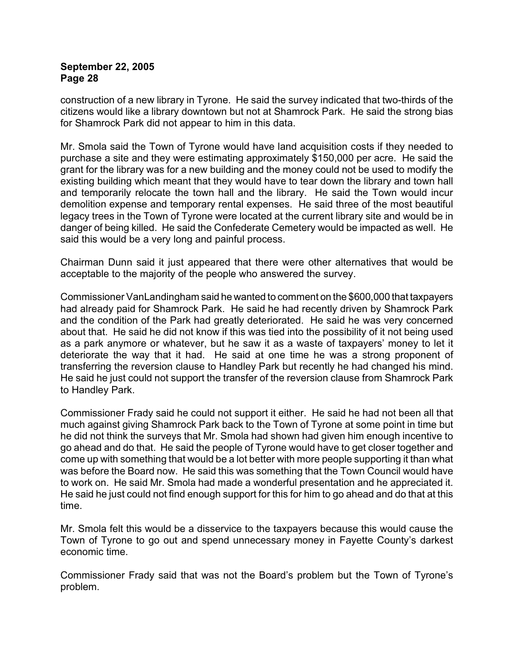construction of a new library in Tyrone. He said the survey indicated that two-thirds of the citizens would like a library downtown but not at Shamrock Park. He said the strong bias for Shamrock Park did not appear to him in this data.

Mr. Smola said the Town of Tyrone would have land acquisition costs if they needed to purchase a site and they were estimating approximately \$150,000 per acre. He said the grant for the library was for a new building and the money could not be used to modify the existing building which meant that they would have to tear down the library and town hall and temporarily relocate the town hall and the library. He said the Town would incur demolition expense and temporary rental expenses. He said three of the most beautiful legacy trees in the Town of Tyrone were located at the current library site and would be in danger of being killed. He said the Confederate Cemetery would be impacted as well. He said this would be a very long and painful process.

Chairman Dunn said it just appeared that there were other alternatives that would be acceptable to the majority of the people who answered the survey.

Commissioner VanLandingham said he wanted to comment on the \$600,000 that taxpayers had already paid for Shamrock Park. He said he had recently driven by Shamrock Park and the condition of the Park had greatly deteriorated. He said he was very concerned about that. He said he did not know if this was tied into the possibility of it not being used as a park anymore or whatever, but he saw it as a waste of taxpayers' money to let it deteriorate the way that it had. He said at one time he was a strong proponent of transferring the reversion clause to Handley Park but recently he had changed his mind. He said he just could not support the transfer of the reversion clause from Shamrock Park to Handley Park.

Commissioner Frady said he could not support it either. He said he had not been all that much against giving Shamrock Park back to the Town of Tyrone at some point in time but he did not think the surveys that Mr. Smola had shown had given him enough incentive to go ahead and do that. He said the people of Tyrone would have to get closer together and come up with something that would be a lot better with more people supporting it than what was before the Board now. He said this was something that the Town Council would have to work on. He said Mr. Smola had made a wonderful presentation and he appreciated it. He said he just could not find enough support for this for him to go ahead and do that at this time.

Mr. Smola felt this would be a disservice to the taxpayers because this would cause the Town of Tyrone to go out and spend unnecessary money in Fayette County's darkest economic time.

Commissioner Frady said that was not the Board's problem but the Town of Tyrone's problem.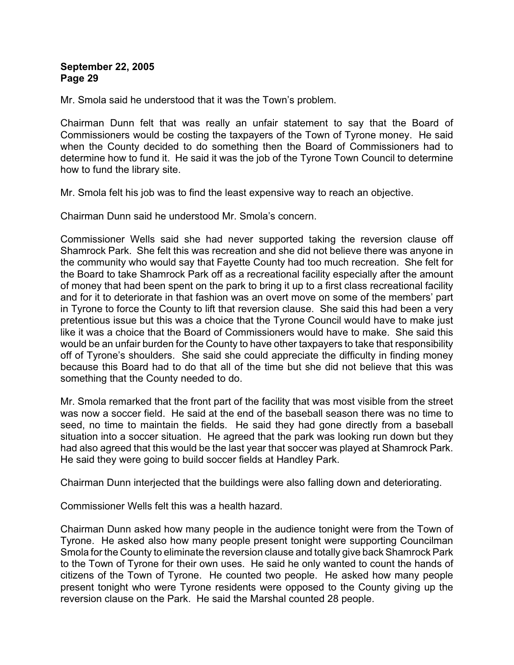Mr. Smola said he understood that it was the Town's problem.

Chairman Dunn felt that was really an unfair statement to say that the Board of Commissioners would be costing the taxpayers of the Town of Tyrone money. He said when the County decided to do something then the Board of Commissioners had to determine how to fund it. He said it was the job of the Tyrone Town Council to determine how to fund the library site.

Mr. Smola felt his job was to find the least expensive way to reach an objective.

Chairman Dunn said he understood Mr. Smola's concern.

Commissioner Wells said she had never supported taking the reversion clause off Shamrock Park. She felt this was recreation and she did not believe there was anyone in the community who would say that Fayette County had too much recreation. She felt for the Board to take Shamrock Park off as a recreational facility especially after the amount of money that had been spent on the park to bring it up to a first class recreational facility and for it to deteriorate in that fashion was an overt move on some of the members' part in Tyrone to force the County to lift that reversion clause. She said this had been a very pretentious issue but this was a choice that the Tyrone Council would have to make just like it was a choice that the Board of Commissioners would have to make. She said this would be an unfair burden for the County to have other taxpayers to take that responsibility off of Tyrone's shoulders. She said she could appreciate the difficulty in finding money because this Board had to do that all of the time but she did not believe that this was something that the County needed to do.

Mr. Smola remarked that the front part of the facility that was most visible from the street was now a soccer field. He said at the end of the baseball season there was no time to seed, no time to maintain the fields. He said they had gone directly from a baseball situation into a soccer situation. He agreed that the park was looking run down but they had also agreed that this would be the last year that soccer was played at Shamrock Park. He said they were going to build soccer fields at Handley Park.

Chairman Dunn interjected that the buildings were also falling down and deteriorating.

Commissioner Wells felt this was a health hazard.

Chairman Dunn asked how many people in the audience tonight were from the Town of Tyrone. He asked also how many people present tonight were supporting Councilman Smola for the County to eliminate the reversion clause and totally give back Shamrock Park to the Town of Tyrone for their own uses. He said he only wanted to count the hands of citizens of the Town of Tyrone. He counted two people. He asked how many people present tonight who were Tyrone residents were opposed to the County giving up the reversion clause on the Park. He said the Marshal counted 28 people.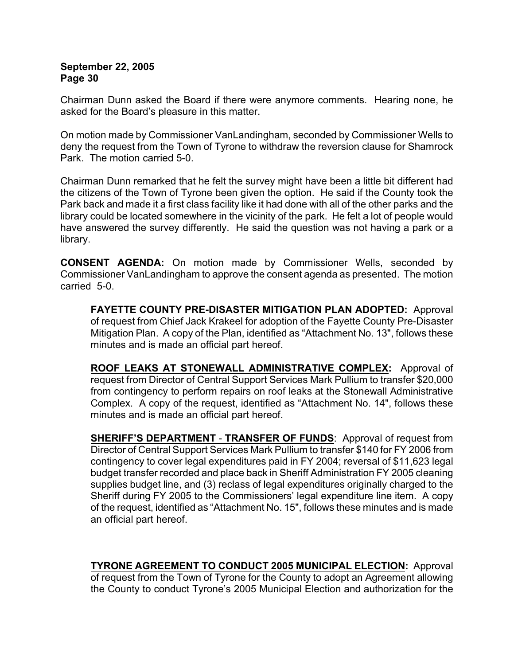Chairman Dunn asked the Board if there were anymore comments. Hearing none, he asked for the Board's pleasure in this matter.

On motion made by Commissioner VanLandingham, seconded by Commissioner Wells to deny the request from the Town of Tyrone to withdraw the reversion clause for Shamrock Park. The motion carried 5-0.

Chairman Dunn remarked that he felt the survey might have been a little bit different had the citizens of the Town of Tyrone been given the option. He said if the County took the Park back and made it a first class facility like it had done with all of the other parks and the library could be located somewhere in the vicinity of the park. He felt a lot of people would have answered the survey differently. He said the question was not having a park or a library.

**CONSENT AGENDA:** On motion made by Commissioner Wells, seconded by Commissioner VanLandingham to approve the consent agenda as presented. The motion carried 5-0.

**FAYETTE COUNTY PRE-DISASTER MITIGATION PLAN ADOPTED:** Approval of request from Chief Jack Krakeel for adoption of the Fayette County Pre-Disaster Mitigation Plan.A copy of the Plan, identified as "Attachment No. 13", follows these minutes and is made an official part hereof.

**ROOF LEAKS AT STONEWALL ADMINISTRATIVE COMPLEX:** Approval of request from Director of Central Support Services Mark Pullium to transfer \$20,000 from contingency to perform repairs on roof leaks at the Stonewall Administrative Complex. A copy of the request, identified as "Attachment No. 14", follows these minutes and is made an official part hereof.

**SHERIFF'S DEPARTMENT** - **TRANSFER OF FUNDS**: Approval of request from Director of Central Support Services Mark Pullium to transfer \$140 for FY 2006 from contingency to cover legal expenditures paid in FY 2004; reversal of \$11,623 legal budget transfer recorded and place back in Sheriff Administration FY 2005 cleaning supplies budget line, and (3) reclass of legal expenditures originally charged to the Sheriff during FY 2005 to the Commissioners' legal expenditure line item. A copy of the request, identified as "Attachment No. 15", follows these minutes and is made an official part hereof.

**TYRONE AGREEMENT TO CONDUCT 2005 MUNICIPAL ELECTION:** Approval of request from the Town of Tyrone for the County to adopt an Agreement allowing the County to conduct Tyrone's 2005 Municipal Election and authorization for the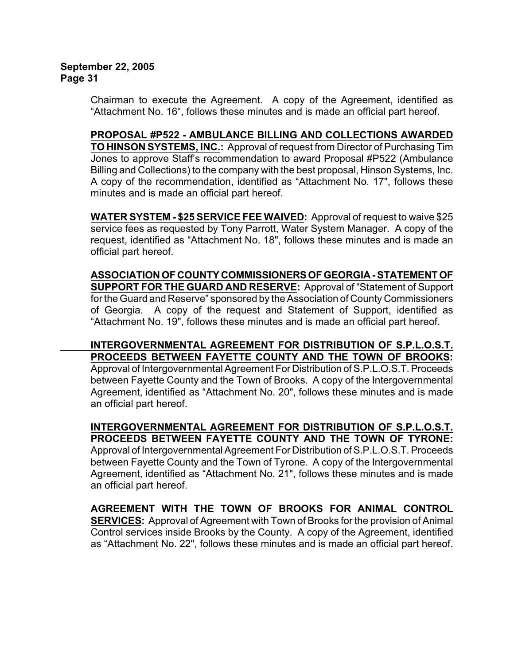Chairman to execute the Agreement. A copy of the Agreement, identified as "Attachment No. 16", follows these minutes and is made an official part hereof.

# **PROPOSAL #P522 - AMBULANCE BILLING AND COLLECTIONS AWARDED**

**TO HINSON SYSTEMS, INC.:** Approval of request from Director of Purchasing Tim Jones to approve Staff's recommendation to award Proposal #P522 (Ambulance Billing and Collections) to the company with the best proposal, Hinson Systems, Inc. A copy of the recommendation, identified as "Attachment No. 17", follows these minutes and is made an official part hereof.

**WATER SYSTEM - \$25 SERVICE FEE WAIVED:** Approval of request to waive \$25 service fees as requested by Tony Parrott, Water System Manager. A copy of the request, identified as "Attachment No. 18", follows these minutes and is made an official part hereof.

**ASSOCIATION OF COUNTY COMMISSIONERS OF GEORGIA - STATEMENT OF SUPPORT FOR THE GUARD AND RESERVE:** Approval of "Statement of Support for the Guard and Reserve" sponsored by the Association of County Commissioners of Georgia. A copy of the request and Statement of Support, identified as "Attachment No. 19", follows these minutes and is made an official part hereof.

**INTERGOVERNMENTAL AGREEMENT FOR DISTRIBUTION OF S.P.L.O.S.T. PROCEEDS BETWEEN FAYETTE COUNTY AND THE TOWN OF BROOKS:** Approval of Intergovernmental Agreement For Distribution of S.P.L.O.S.T. Proceeds between Fayette County and the Town of Brooks. A copy of the Intergovernmental Agreement, identified as "Attachment No. 20", follows these minutes and is made an official part hereof.

**INTERGOVERNMENTAL AGREEMENT FOR DISTRIBUTION OF S.P.L.O.S.T. PROCEEDS BETWEEN FAYETTE COUNTY AND THE TOWN OF TYRONE:** Approval of Intergovernmental Agreement For Distribution of S.P.L.O.S.T. Proceeds between Fayette County and the Town of Tyrone. A copy of the Intergovernmental Agreement, identified as "Attachment No. 21", follows these minutes and is made an official part hereof.

**AGREEMENT WITH THE TOWN OF BROOKS FOR ANIMAL CONTROL SERVICES:** Approval of Agreement with Town of Brooks for the provision of Animal Control services inside Brooks by the County. A copy of the Agreement, identified as "Attachment No. 22", follows these minutes and is made an official part hereof.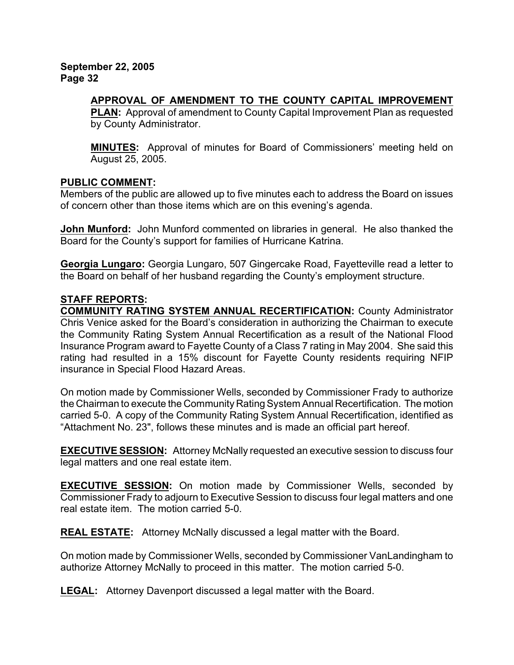### **APPROVAL OF AMENDMENT TO THE COUNTY CAPITAL IMPROVEMENT**

**PLAN:** Approval of amendment to County Capital Improvement Plan as requested by County Administrator.

**MINUTES:** Approval of minutes for Board of Commissioners' meeting held on August 25, 2005.

### **PUBLIC COMMENT:**

Members of the public are allowed up to five minutes each to address the Board on issues of concern other than those items which are on this evening's agenda.

**John Munford:** John Munford commented on libraries in general. He also thanked the Board for the County's support for families of Hurricane Katrina.

**Georgia Lungaro:** Georgia Lungaro, 507 Gingercake Road, Fayetteville read a letter to the Board on behalf of her husband regarding the County's employment structure.

### **STAFF REPORTS:**

**COMMUNITY RATING SYSTEM ANNUAL RECERTIFICATION:** County Administrator Chris Venice asked for the Board's consideration in authorizing the Chairman to execute the Community Rating System Annual Recertification as a result of the National Flood Insurance Program award to Fayette County of a Class 7 rating in May 2004. She said this rating had resulted in a 15% discount for Fayette County residents requiring NFIP insurance in Special Flood Hazard Areas.

On motion made by Commissioner Wells, seconded by Commissioner Frady to authorize the Chairman to execute the Community Rating System Annual Recertification. The motion carried 5-0. A copy of the Community Rating System Annual Recertification, identified as "Attachment No. 23", follows these minutes and is made an official part hereof.

**EXECUTIVE SESSION:** Attorney McNally requested an executive session to discuss four legal matters and one real estate item.

**EXECUTIVE SESSION:** On motion made by Commissioner Wells, seconded by Commissioner Frady to adjourn to Executive Session to discuss four legal matters and one real estate item. The motion carried 5-0.

**REAL ESTATE:** Attorney McNally discussed a legal matter with the Board.

On motion made by Commissioner Wells, seconded by Commissioner VanLandingham to authorize Attorney McNally to proceed in this matter. The motion carried 5-0.

**LEGAL:** Attorney Davenport discussed a legal matter with the Board.